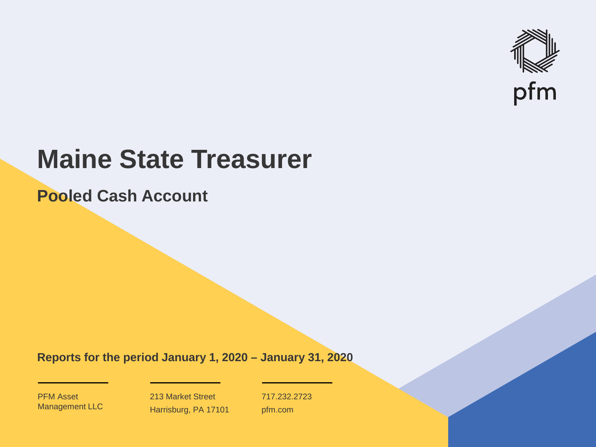

# **Maine State Treasurer**

**Pooled Cash Account**

**Reports for the period January 1, 2020 – January 31, 2020**

PFM Asset Management LLC

213 Market Street Harrisburg, PA 17101 717.232.2723 pfm.com

 $\mathcal{P}_\text{max}$  and  $\mathcal{P}_\text{max}$  is the probability of  $\mathcal{P}_\text{max}$  and  $\mathcal{P}_\text{max}$  and  $\mathcal{P}_\text{max}$  and  $\mathcal{P}_\text{max}$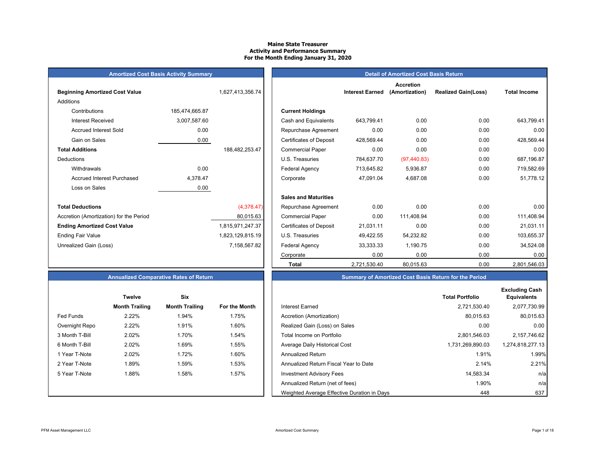#### **Maine State Treasurer Activity and Performance Summary For the Month Ending January 31, 2020**

| <b>Amortized Cost Basis Activity Summary</b> |  |
|----------------------------------------------|--|
|----------------------------------------------|--|

| <b>Beginning Amortized Cost Value</b>   |                | 1,627,413,356.74 |                                | <b>Interest Earned</b> |
|-----------------------------------------|----------------|------------------|--------------------------------|------------------------|
| Additions                               |                |                  |                                |                        |
| Contributions                           | 185,474,665.87 |                  | <b>Current Holdings</b>        |                        |
| Interest Received                       | 3,007,587.60   |                  | Cash and Equivalents           | 643,799.41             |
| <b>Accrued Interest Sold</b>            | 0.00           |                  | Repurchase Agreement           | 0.00                   |
| Gain on Sales                           | 0.00           |                  | <b>Certificates of Deposit</b> | 428,569.44             |
| <b>Total Additions</b>                  |                | 188,482,253.47   | <b>Commercial Paper</b>        | 0.00                   |
| <b>Deductions</b>                       |                |                  | U.S. Treasuries                | 784,637.70             |
| Withdrawals                             | 0.00           |                  | Federal Agency                 | 713,645.82             |
| <b>Accrued Interest Purchased</b>       | 4,378.47       |                  | Corporate                      | 47,091.04              |
| Loss on Sales                           | 0.00           |                  |                                |                        |
|                                         |                |                  | <b>Sales and Maturities</b>    |                        |
| <b>Total Deductions</b>                 |                | (4,378.47)       | Repurchase Agreement           | 0.00                   |
| Accretion (Amortization) for the Period |                | 80,015.63        | <b>Commercial Paper</b>        | 0.00                   |
| <b>Ending Amortized Cost Value</b>      |                | 1,815,971,247.37 | <b>Certificates of Deposit</b> | 21,031.11              |
| <b>Ending Fair Value</b>                |                | 1,823,129,815.19 | U.S. Treasuries                | 49,422.55              |
| Unrealized Gain (Loss)                  |                | 7,158,567.82     | Federal Agency                 | 33,333.33              |
|                                         |                |                  |                                |                        |

|                                         | <b>Amortized Cost Basis Activity Summary</b> |                  | <b>Detail of Amortized Cost Basis Return</b> |                        |                                    |                            |                     |
|-----------------------------------------|----------------------------------------------|------------------|----------------------------------------------|------------------------|------------------------------------|----------------------------|---------------------|
| <b>Beginning Amortized Cost Value</b>   |                                              | 1,627,413,356.74 |                                              | <b>Interest Earned</b> | <b>Accretion</b><br>(Amortization) | <b>Realized Gain(Loss)</b> | <b>Total Income</b> |
| Additions                               |                                              |                  |                                              |                        |                                    |                            |                     |
| Contributions                           | 185,474,665.87                               |                  | <b>Current Holdings</b>                      |                        |                                    |                            |                     |
| <b>Interest Received</b>                | 3,007,587.60                                 |                  | Cash and Equivalents                         | 643,799.41             | 0.00                               | 0.00                       | 643,799.41          |
| <b>Accrued Interest Sold</b>            | 0.00                                         |                  | Repurchase Agreement                         | 0.00                   | 0.00                               | 0.00                       | 0.00                |
| Gain on Sales                           | 0.00                                         |                  | <b>Certificates of Deposit</b>               | 428,569.44             | 0.00                               | 0.00                       | 428,569.44          |
| <b>Total Additions</b>                  |                                              | 188,482,253.47   | <b>Commercial Paper</b>                      | 0.00                   | 0.00                               | 0.00                       | 0.00                |
| Deductions                              |                                              |                  | U.S. Treasuries                              | 784,637.70             | (97, 440.83)                       | 0.00                       | 687,196.87          |
| Withdrawals                             | 0.00                                         |                  | Federal Agency                               | 713,645.82             | 5,936.87                           | 0.00                       | 719,582.69          |
| <b>Accrued Interest Purchased</b>       | 4,378.47                                     |                  | Corporate                                    | 47,091.04              | 4,687.08                           | 0.00                       | 51,778.12           |
| Loss on Sales                           | 0.00                                         |                  |                                              |                        |                                    |                            |                     |
|                                         |                                              |                  | <b>Sales and Maturities</b>                  |                        |                                    |                            |                     |
| <b>Total Deductions</b>                 |                                              | (4,378.47)       | Repurchase Agreement                         | 0.00                   | 0.00                               | 0.00                       | 0.00                |
| Accretion (Amortization) for the Period |                                              | 80,015.63        | <b>Commercial Paper</b>                      | 0.00                   | 111,408.94                         | 0.00                       | 111,408.94          |
| <b>Ending Amortized Cost Value</b>      |                                              | 1,815,971,247.37 | <b>Certificates of Deposit</b>               | 21,031.11              | 0.00                               | 0.00                       | 21,031.11           |
| Ending Fair Value                       |                                              | 1,823,129,815.19 | U.S. Treasuries                              | 49,422.55              | 54,232.82                          | 0.00                       | 103,655.37          |
| Unrealized Gain (Loss)                  |                                              | 7,158,567.82     | Federal Agency                               | 33,333.33              | 1,190.75                           | 0.00                       | 34,524.08           |
|                                         |                                              |                  | Corporate                                    | 0.00                   | 0.00                               | 0.00                       | 0.00                |
|                                         |                                              |                  | <b>Total</b>                                 | 2,721,530.40           | 80,015.63                          | 0.00                       | 2,801,546.03        |

# **Annually Summary of Amortized Cost Basis Return for the Period**

|                | <b>Twelve</b>         | Six                   |               |                                             | <b>Total Portfolio</b> |
|----------------|-----------------------|-----------------------|---------------|---------------------------------------------|------------------------|
|                | <b>Month Trailing</b> | <b>Month Trailing</b> | For the Month | Interest Earned                             | 2,721,530.40           |
| Fed Funds      | 2.22%                 | 1.94%                 | 1.75%         | Accretion (Amortization)                    | 80,015.63              |
| Overnight Repo | 2.22%                 | 1.91%                 | 1.60%         | Realized Gain (Loss) on Sales               | 0.00                   |
| 3 Month T-Bill | 2.02%                 | 1.70%                 | 1.54%         | Total Income on Portfolio                   | 2,801,546.03           |
| 6 Month T-Bill | 2.02%                 | 1.69%                 | 1.55%         | Average Daily Historical Cost               | 1,731,269,890.03       |
| 1 Year T-Note  | 2.02%                 | 1.72%                 | 1.60%         | <b>Annualized Return</b>                    | 1.91%                  |
| 2 Year T-Note  | 1.89%                 | 1.59%                 | 1.53%         | Annualized Return Fiscal Year to Date       | 2.14%                  |
| 5 Year T-Note  | 1.88%                 | 1.58%                 | 1.57%         | <b>Investment Advisory Fees</b>             | 14,583.34              |
|                |                       |                       |               | Annualized Return (net of fees)             | 1.90%                  |
|                |                       |                       |               | Weighted Average Effective Duration in Days | 448                    |

|                | <b>Twelve</b>         | Six                   |                      |
|----------------|-----------------------|-----------------------|----------------------|
|                | <b>Month Trailing</b> | <b>Month Trailing</b> | <b>For the Month</b> |
| Fed Funds      | 2.22%                 | 1.94%                 | 1.75%                |
| Overnight Repo | 2.22%                 | 1.91%                 | 1.60%                |
| 3 Month T-Bill | 2.02%                 | 1.70%                 | 1.54%                |
| 6 Month T-Bill | 2.02%                 | 1.69%                 | 1.55%                |
| 1 Year T-Note  | 2.02%                 | 1.72%                 | 1.60%                |
| 2 Year T-Note  | 1.89%                 | 1.59%                 | 1.53%                |
| 5 Year T-Note  | 1.88%                 | 1.58%                 | 1.57%                |
|                |                       |                       |                      |
|                |                       |                       |                      |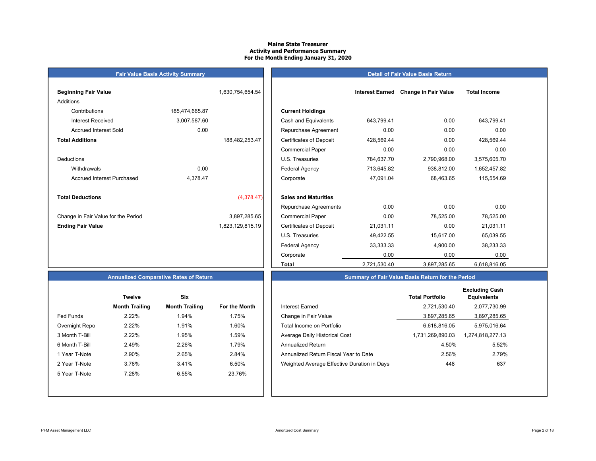#### **Maine State Treasurer Activity and Performance Summary For the Month Ending January 31, 2020**

#### **Detail of Fair Value Basis Return**

| <b>Beginning Fair Value</b>         |                | 1,630,754,654.54 |                                |
|-------------------------------------|----------------|------------------|--------------------------------|
| Additions                           |                |                  |                                |
| Contributions                       | 185,474,665.87 |                  | <b>Current Holdings</b>        |
| <b>Interest Received</b>            | 3,007,587.60   |                  | Cash and Equivalents           |
| <b>Accrued Interest Sold</b>        | 0.00           |                  | Repurchase Agreeme             |
| <b>Total Additions</b>              |                | 188,482,253.47   | <b>Certificates of Deposit</b> |
|                                     |                |                  | <b>Commercial Paper</b>        |
| Deductions                          |                |                  | U.S. Treasuries                |
| Withdrawals                         | 0.00           |                  | <b>Federal Agency</b>          |
| Accrued Interest Purchased          | 4,378.47       |                  | Corporate                      |
|                                     |                |                  |                                |
| <b>Total Deductions</b>             |                | (4,378.47)       | <b>Sales and Maturities</b>    |
|                                     |                |                  | Repurchase Agreeme             |
| Change in Fair Value for the Period |                | 3,897,285.65     | <b>Commercial Paper</b>        |
| <b>Ending Fair Value</b>            |                | 1,823,129,815.19 | <b>Certificates of Deposit</b> |
|                                     |                |                  | <b>ILC</b> Tropourion          |

**Fair Value Basis Activity Summary**

| Beginning Fair Value                |                | 1,630,754,654.54 |                                | <b>Interest Earned</b> | <b>Change in Fair Value</b> | <b>Total Income</b> |  |
|-------------------------------------|----------------|------------------|--------------------------------|------------------------|-----------------------------|---------------------|--|
| Additions                           |                |                  |                                |                        |                             |                     |  |
| Contributions                       | 185,474,665.87 |                  | <b>Current Holdings</b>        |                        |                             |                     |  |
| <b>Interest Received</b>            | 3,007,587.60   |                  | Cash and Equivalents           | 643,799.41             | 0.00                        | 643,799.41          |  |
| <b>Accrued Interest Sold</b>        | 0.00           |                  | Repurchase Agreement           | 0.00                   | 0.00                        | 0.00                |  |
| <b>Total Additions</b>              |                | 188,482,253.47   | <b>Certificates of Deposit</b> | 428,569.44             | 0.00                        | 428,569.44          |  |
|                                     |                |                  | <b>Commercial Paper</b>        | 0.00                   | 0.00                        | 0.00                |  |
| Deductions                          |                |                  | U.S. Treasuries                | 784,637.70             | 2,790,968.00                | 3,575,605.70        |  |
| Withdrawals                         | 0.00           |                  | <b>Federal Agency</b>          | 713,645.82             | 938,812.00                  | 1,652,457.82        |  |
| <b>Accrued Interest Purchased</b>   | 4,378.47       |                  | Corporate                      | 47,091.04              | 68,463.65                   | 115,554.69          |  |
| <b>Total Deductions</b>             |                | (4,378.47)       | <b>Sales and Maturities</b>    |                        |                             |                     |  |
|                                     |                |                  | Repurchase Agreements          | 0.00                   | 0.00                        | 0.00                |  |
| Change in Fair Value for the Period |                | 3,897,285.65     | <b>Commercial Paper</b>        | 0.00                   | 78,525.00                   | 78,525.00           |  |
| <b>Ending Fair Value</b>            |                | 1,823,129,815.19 | <b>Certificates of Deposit</b> | 21,031.11              | 0.00                        | 21,031.11           |  |
|                                     |                |                  | U.S. Treasuries                | 49,422.55              | 15,617.00                   | 65,039.55           |  |
|                                     |                |                  | <b>Federal Agency</b>          | 33,333.33              | 4,900.00                    | 38,233.33           |  |
|                                     |                |                  | Corporate                      | 0.00                   | 0.00                        | 0.00                |  |
|                                     |                |                  | Total                          | 2,721,530.40           | 3,897,285.65                | 6,618,816.05        |  |

# **Annualized Comparative Rates of Return**

|                | Twelve                | Six                   |                      |
|----------------|-----------------------|-----------------------|----------------------|
|                | <b>Month Trailing</b> | <b>Month Trailing</b> | <b>For the Month</b> |
| Fed Funds      | 2.22%                 | 1.94%                 | 1.75%                |
| Overnight Repo | 2.22%                 | 1.91%                 | 1.60%                |
| 3 Month T-Bill | 2.22%                 | 1.95%                 | 1.59%                |
| 6 Month T-Bill | 2.49%                 | 2.26%                 | 1.79%                |
| 1 Year T-Note  | 2.90%                 | 2.65%                 | 2.84%                |
| 2 Year T-Note  | 3.76%                 | 3.41%                 | 6.50%                |
| 5 Year T-Note  | 7.28%                 | 6.55%                 | 23.76%               |
|                |                       |                       |                      |
|                |                       |                       |                      |

|                  | <b>Twelve</b>         | <b>Six</b>            |               |                                             | <b>Total Portfolio</b> | <b>Excluding Cash</b><br><b>Equivalents</b> |
|------------------|-----------------------|-----------------------|---------------|---------------------------------------------|------------------------|---------------------------------------------|
|                  | <b>Month Trailing</b> | <b>Month Trailing</b> | For the Month | Interest Earned                             | 2,721,530.40           | 2,077,730.99                                |
| <b>Fed Funds</b> | 2.22%                 | 1.94%                 | 1.75%         | Change in Fair Value                        | 3,897,285.65           | 3,897,285.65                                |
| Overnight Repo   | 2.22%                 | 1.91%                 | 1.60%         | Total Income on Portfolio                   | 6.618.816.05           | 5,975,016.64                                |
| 3 Month T-Bill   | 2.22%                 | 1.95%                 | 1.59%         | Average Daily Historical Cost               | 1,731,269,890.03       | 1,274,818,277.13                            |
| 6 Month T-Bill   | 2.49%                 | 2.26%                 | 1.79%         | <b>Annualized Return</b>                    | 4.50%                  | 5.52%                                       |
| 1 Year T-Note    | 2.90%                 | 2.65%                 | 2.84%         | Annualized Return Fiscal Year to Date       | 2.56%                  | 2.79%                                       |
| 2 Year T-Note    | 3.76%                 | 3.41%                 | 6.50%         | Weighted Average Effective Duration in Days | 448                    | 637                                         |
| 5 Year T-Note    | 7.28%                 | 6.55%                 | 23.76%        |                                             |                        |                                             |
|                  |                       |                       |               |                                             |                        |                                             |

**Summary of Fair Value Basis Return for the Period**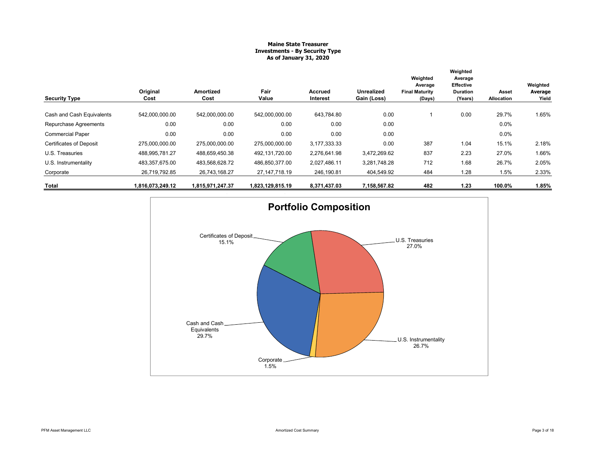### **Maine State Treasurer Investments - By Security Type As of January 31, 2020**

| <b>Security Type</b>           | Original<br>Cost | Amortized<br>Cost | Fair<br>Value    | Accrued<br><b>Interest</b> | Unrealized<br>Gain (Loss) | Weighted<br>Average<br><b>Final Maturity</b><br>(Days) | Weighted<br>Average<br><b>Effective</b><br><b>Duration</b><br>(Years) | Asset<br>Allocation | Weighted<br>Average<br>Yield |
|--------------------------------|------------------|-------------------|------------------|----------------------------|---------------------------|--------------------------------------------------------|-----------------------------------------------------------------------|---------------------|------------------------------|
| Cash and Cash Equivalents      | 542,000,000.00   | 542,000,000.00    | 542,000,000.00   | 643,784.80                 | 0.00                      |                                                        | 0.00                                                                  | 29.7%               | 1.65%                        |
| Repurchase Agreements          | 0.00             | 0.00              | 0.00             | 0.00                       | 0.00                      |                                                        |                                                                       | 0.0%                |                              |
| <b>Commercial Paper</b>        | 0.00             | 0.00              | 0.00             | 0.00                       | 0.00                      |                                                        |                                                                       | 0.0%                |                              |
| <b>Certificates of Deposit</b> | 275.000.000.00   | 275.000.000.00    | 275.000.000.00   | 3,177,333.33               | 0.00                      | 387                                                    | 1.04                                                                  | 15.1%               | 2.18%                        |
| U.S. Treasuries                | 488,995,781.27   | 488,659,450.38    | 492,131,720.00   | 2,276,641.98               | 3,472,269.62              | 837                                                    | 2.23                                                                  | 27.0%               | 1.66%                        |
| U.S. Instrumentality           | 483,357,675.00   | 483,568,628.72    | 486,850,377.00   | 2,027,486.11               | 3,281,748.28              | 712                                                    | 1.68                                                                  | 26.7%               | 2.05%                        |
| Corporate                      | 26,719,792.85    | 26,743,168.27     | 27, 147, 718. 19 | 246,190.81                 | 404,549.92                | 484                                                    | 1.28                                                                  | 1.5%                | 2.33%                        |
| Total                          | 1,816,073,249.12 | 1,815,971,247.37  | 1,823,129,815.19 | 8,371,437.03               | 7,158,567.82              | 482                                                    | 1.23                                                                  | 100.0%              | 1.85%                        |

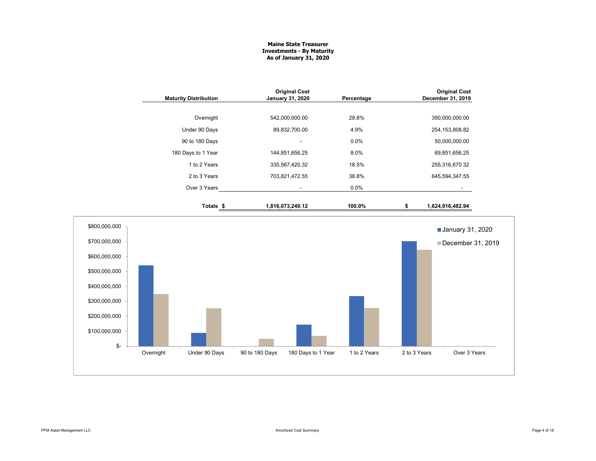#### **Maine State Treasurer Investments - By Maturity As of January 31, 2020**

|               | <b>Maturity Distribution</b> | <b>Original Cost</b><br><b>January 31, 2020</b> | Percentage | <b>Original Cost</b><br>December 31, 2019 |
|---------------|------------------------------|-------------------------------------------------|------------|-------------------------------------------|
|               | Overnight                    | 542,000,000.00                                  | 29.8%      | 350,000,000.00                            |
|               | Under 90 Days                | 89,832,700.00                                   | 4.9%       | 254, 153, 808.82                          |
|               | 90 to 180 Days               |                                                 | 0.0%       | 50,000,000.00                             |
|               | 180 Days to 1 Year           | 144,851,656.25                                  | 8.0%       | 69,851,656.25                             |
|               | 1 to 2 Years                 | 335,567,420.32                                  | 18.5%      | 255,316,670.32                            |
|               | 2 to 3 Years                 | 703,821,472.55                                  | 38.8%      | 645,594,347.55                            |
|               | Over 3 Years                 | $\blacksquare$                                  | 0.0%       |                                           |
|               | Totals \$                    | 1,816,073,249.12                                | 100.0%     | 1,624,916,482.94<br>\$                    |
| \$800,000,000 |                              |                                                 |            | <b>January 31, 2020</b>                   |
| \$700,000,000 |                              |                                                 |            | December 31, 2019                         |
| \$600,000,000 |                              |                                                 |            |                                           |
| \$500,000,000 |                              |                                                 |            |                                           |
| \$400,000,000 |                              |                                                 |            |                                           |
| \$300,000,000 |                              |                                                 |            |                                           |
| \$200,000,000 |                              |                                                 |            |                                           |
| \$100,000,000 |                              |                                                 |            |                                           |

 $$-$ 

Overnight Under 90 Days 90 to 180 Days 180 Days to 1 Year 1 to 2 Years 2 to 3 Years Over 3 Years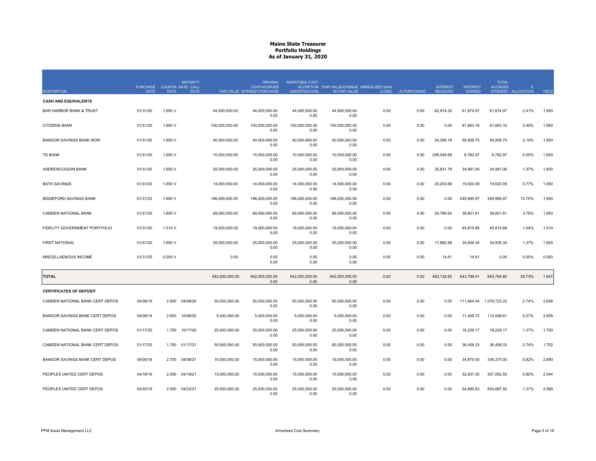|                                    | PURCHASE COUPON DATE / CALL |             | <b>MATURITY</b> |                | <b>ORIGINAL</b><br><b>COST/ACCRUED</b> | AMORTIZED COST/        | ACCRETION FAIR VALUE/CHANGE UNREALIZED GAIN |        |              | <b>INTEREST</b> | <b>INTEREST</b> | <b>TOTAL</b><br><b>ACCRUED</b> |                     |       |
|------------------------------------|-----------------------------|-------------|-----------------|----------------|----------------------------------------|------------------------|---------------------------------------------|--------|--------------|-----------------|-----------------|--------------------------------|---------------------|-------|
| <b>DESCRIPTION</b>                 | <b>DATE</b>                 | <b>RATE</b> | <b>DATE</b>     |                | PAR VALUE INTEREST PURCHASE            | (AMORTIZATION)         | IN FAIR VALUE                               | (LOSS) | AI PURCHASED | <b>RECEIVED</b> | EARNED          |                                | INTEREST ALLOCATION | YIELD |
| <b>CASH AND EQUIVALENTS</b>        |                             |             |                 |                |                                        |                        |                                             |        |              |                 |                 |                                |                     |       |
| <b>BAR HARBOR BANK &amp; TRUST</b> | 01/31/20                    | 1.650 V     |                 | 44,000,000.00  | 44,000,000.00<br>0.00                  | 44,000,000.00<br>0.00  | 44,000,000.00<br>0.00                       | 0.00   | 0.00         | 62,974.30       | 61,674.97       | 61,674.97                      | 2.41%               | 1.650 |
| <b>CITIZENS BANK</b>               | 01/31/20                    | 1.660 V     |                 | 100.000.000.00 | 100.000.000.00<br>0.00                 | 100.000.000.00<br>0.00 | 100.000.000.00<br>0.00                      | 0.00   | 0.00         | 0.00            | 91.663.16       | 91.663.16                      | 5.49%               | 1.660 |
| <b>BANGOR SAVINGS BANK NOW</b>     | 01/31/20                    | 1.650 V     |                 | 40,000,000.00  | 40,000,000.00<br>0.00                  | 40,000,000.00<br>0.00  | 40,000,000.00<br>0.00                       | 0.00   | 0.00         | 34,356.16       | 59,509.75       | 59,509.75                      | 2.19%               | 1.650 |
| <b>TD BANK</b>                     | 01/31/20                    | 1.650 V     |                 | 10,000,000.00  | 10,000,000.00<br>0.00                  | 10,000,000.00<br>0.00  | 10,000,000.00<br>0.00                       | 0.00   | 0.00         | 296,049.68      | 6,782.97        | 6,782.97                       | 0.55%               | 1.650 |
| ANDROSCOGGIN BANK                  | 01/31/20                    | 1.650 V     |                 | 25.000.000.00  | 25.000.000.00<br>0.00                  | 25.000.000.00<br>0.00  | 25,000,000.00<br>0.00                       | 0.00   | 0.00         | 35,831.76       | 34,981.06       | 34,981.06                      | 1.37%               | 1.650 |
| <b>BATH SAVINGS</b>                | 01/31/20                    | 1.650 V     |                 | 14,000,000.00  | 14,000,000.00<br>0.00                  | 14,000,000.00<br>0.00  | 14,000,000.00<br>0.00                       | 0.00   | 0.00         | 20,253.69       | 19,620.09       | 19,620.09                      | 0.77%               | 1.650 |
| <b>BIDDEFORD SAVINGS BANK</b>      | 01/31/20                    | 1.650 V     |                 | 196,000,000.00 | 196,000,000.00<br>0.00                 | 196,000,000.00<br>0.00 | 196,000,000.00<br>0.00                      | 0.00   | 0.00         | 0.00            | 249,995.97      | 249,995.97                     | 10.75%              | 1.650 |
| CAMDEN NATIONAL BANK               | 01/31/20                    | 1.650 V     |                 | 69,000,000.00  | 69,000,000.00<br>0.00                  | 69,000,000.00<br>0.00  | 69,000,000.00<br>0.00                       | 0.00   | 0.00         | 24,766.64       | 38,801.61       | 38,801.61                      | 3.78%               | 1.650 |
| FIDELITY GOVERNMENT PORTFOLIO      | 01/31/20                    | 1.510 V     |                 | 19,000,000.00  | 19,000,000.00<br>0.00                  | 19,000,000.00<br>0.00  | 19,000,000.00<br>0.00                       | 0.00   | 0.00         | 0.00            | 45,815.88       | 45,815.88                      | 1.04%               | 1.510 |
| <b>FIRST NATIONAL</b>              | 01/31/20                    | 1.650 V     |                 | 25,000,000.00  | 25,000,000.00<br>0.00                  | 25,000,000.00<br>0.00  | 25,000,000.00<br>0.00                       | 0.00   | 0.00         | 17,892.98       | 34,939.34       | 34,939.34                      | 1.37%               | 1.650 |
| MISCELLAENOUS INCOME               | 01/31/20                    | 0.000V      |                 | 0.00           | 0.00<br>0.00                           | 0.00<br>0.00           | 0.00<br>0.00                                | 0.00   | 0.00         | 14.61           | 14.61           | 0.00                           | 0.00%               | 0.000 |
| <b>TOTAL</b>                       |                             |             |                 | 542,000,000.00 | 542,000,000.00<br>0.00                 | 542,000,000.00<br>0.00 | 542,000,000.00<br>0.00                      | 0.00   | 0.00         | 492,139.82      | 643,799.41      | 643,784.80                     | 29.73%              | 1.647 |
| <b>CERTIFICATES OF DEPOSIT</b>     |                             |             |                 |                |                                        |                        |                                             |        |              |                 |                 |                                |                     |       |
| CAMDEN NATIONAL BANK CERT DEPOS    | 04/08/19                    | 2.600       | 04/08/20        | 50,000,000.00  | 50,000,000.00<br>0.00                  | 50,000,000.00<br>0.00  | 50,000,000.00<br>0.00                       | 0.00   | 0.00         | 0.00            | 111,944.44      | 1,079,722.22                   | 2.74%               | 2.626 |
| BANGOR SAVINGS BANK CERT DEPOS     | 04/08/19                    | 2.650       | 10/08/20        | 5,000,000.00   | 5,000,000.00<br>0.00                   | 5,000,000.00<br>0.00   | 5,000,000.00<br>0.00                        | 0.00   | 0.00         | 0.00            | 11,409.72       | 110,048.61                     | 0.27%               | 2.659 |
| CAMDEN NATIONAL BANK CERT DEPOS    | 01/17/20                    | 1.750       | 10/17/20        | 25,000,000.00  | 25,000,000.00<br>0.00                  | 25,000,000.00<br>0.00  | 25,000,000.00<br>0.00                       | 0.00   | 0.00         | 0.00            | 18,229.17       | 18,229.17                      | 1.37%               | 1.750 |
| CAMDEN NATIONAL BANK CERT DEPOS    | 01/17/20                    | 1.750       | 01/17/21        | 50,000,000.00  | 50.000.000.00<br>0.00                  | 50,000,000.00<br>0.00  | 50,000,000.00<br>0.00                       | 0.00   | 0.00         | 0.00            | 36,458.33       | 36,458.33                      | 2.74%               | 1.752 |
| BANGOR SAVINGS BANK CERT DEPOS     | 04/08/19                    | 2.700       | 04/08/21        | 15,000,000.00  | 15,000,000.00<br>0.00                  | 15,000,000.00<br>0.00  | 15,000,000.00<br>0.00                       | 0.00   | 0.00         | 0.00            | 34,875.00       | 336,375.00                     | 0.82%               | 2.690 |
| PEOPLES UNITED CERT DEPOS          | 04/18/19                    | 2.550       | 04/18/21        | 15.000.000.00  | 15.000.000.00<br>0.00                  | 15.000.000.00<br>0.00  | 15.000.000.00<br>0.00                       | 0.00   | 0.00         | 0.00            | 32.937.50       | 307.062.50                     | 0.82%               | 2.544 |
| PEOPLES UNITED CERT DEPOS          | 04/22/19                    | 2.550       | 04/22/21        | 25,000,000.00  | 25,000,000.00<br>0.00                  | 25,000,000.00<br>0.00  | 25,000,000.00<br>0.00                       | 0.00   | 0.00         | 0.00            | 54,895.83       | 504,687.50                     | 1.37%               | 2.589 |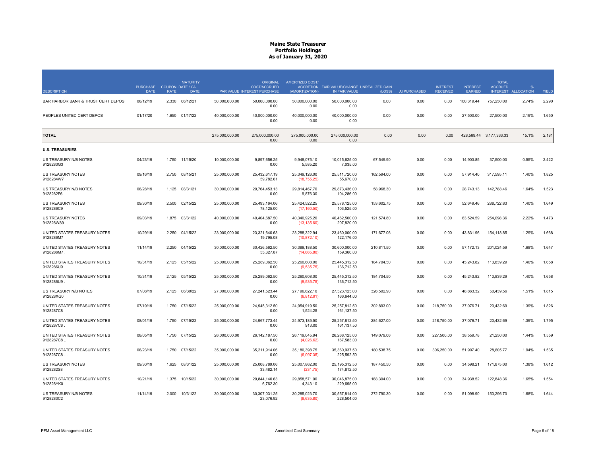|                                            | <b>PURCHASE</b> | <b>COUPON DATE / CALL</b> | <b>MATURITY</b> |                | <b>ORIGINAL</b><br><b>COST/ACCRUED</b> | AMORTIZED COST/                | ACCRETION FAIR VALUE/CHANGE UNREALIZED GAIN |            |              | <b>INTEREST</b> | <b>INTEREST</b> | <b>TOTAL</b><br><b>ACCRUED</b> |                   |       |
|--------------------------------------------|-----------------|---------------------------|-----------------|----------------|----------------------------------------|--------------------------------|---------------------------------------------|------------|--------------|-----------------|-----------------|--------------------------------|-------------------|-------|
| <b>DESCRIPTION</b>                         | <b>DATE</b>     | <b>RATE</b>               | <b>DATE</b>     |                | PAR VALUE INTEREST PURCHASE            | (AMORTIZATION)                 | IN FAIR VALUE                               | (LOSS)     | AI PURCHASED | <b>RECEIVED</b> | EARNED          | <b>INTEREST</b>                | <b>ALLOCATION</b> | YIELD |
| BAR HARBOR BANK & TRUST CERT DEPOS         | 06/12/19        | 2.330                     | 06/12/21        | 50,000,000.00  | 50,000,000.00<br>0.00                  | 50,000,000.00<br>0.00          | 50,000,000.00<br>0.00                       | 0.00       | 0.00         | 0.00            | 100,319.44      | 757,250.00                     | 2.74%             | 2.290 |
| PEOPLES UNITED CERT DEPOS                  | 01/17/20        | 1.650                     | 01/17/22        | 40,000,000.00  | 40,000,000.00<br>0.00                  | 40,000,000.00<br>0.00          | 40,000,000.00<br>0.00                       | 0.00       | 0.00         | 0.00            | 27,500.00       | 27,500.00                      | 2.19%             | 1.650 |
| <b>TOTAL</b>                               |                 |                           |                 | 275,000,000.00 | 275.000.000.00<br>0.00                 | 275.000.000.00<br>0.00         | 275.000.000.00<br>0.00                      | 0.00       | 0.00         | 0.00            |                 | 428,569.44 3,177,333.33        | 15.1%             | 2.181 |
| <b>U.S. TREASURIES</b>                     |                 |                           |                 |                |                                        |                                |                                             |            |              |                 |                 |                                |                   |       |
| US TREASURY N/B NOTES<br>9128283G3         | 04/23/19        | 1.750                     | 11/15/20        | 10,000,000.00  | 9,897,656.25<br>0.00                   | 9,948,075.10<br>5,585.20       | 10,015,625.00<br>7,035.00                   | 67,549.90  | 0.00         | 0.00            | 14,903.85       | 37,500.00                      | 0.55%             | 2.422 |
| US TREASURY NOTES<br>9128284W7             | 09/16/19        | 2.750                     | 08/15/21        | 25,000,000.00  | 25,432,617.19<br>59,782.61             | 25,349,126.00<br>(18,755.25)   | 25,511,720.00<br>55,670.00                  | 162,594.00 | 0.00         | 0.00            | 57,914.40       | 317,595.11                     | 1.40%             | 1.825 |
| US TREASURY N/B NOTES<br>9128282F6         | 08/28/19        | 1.125                     | 08/31/21        | 30,000,000.00  | 29,764,453.13<br>0.00                  | 29,814,467.70<br>9,876.30      | 29,873,436.00<br>104,286.00                 | 58,968.30  | 0.00         | 0.00            | 28,743.13       | 142,788.46                     | 1.64%             | 1.523 |
| <b>US TREASURY NOTES</b><br>9128286C9      | 09/30/19        | 2.500                     | 02/15/22        | 25,000,000.00  | 25,493,164.06<br>78,125.00             | 25,424,522.25<br>(17, 160.50)  | 25,578,125.00<br>103,525.00                 | 153,602.75 | 0.00         | 0.00            | 52,649.46       | 288,722.83                     | 1.40%             | 1.649 |
| US TREASURY NOTES<br>912828W89             | 09/03/19        | 1.875 03/31/22            |                 | 40,000,000.00  | 40,404,687.50<br>0.00                  | 40,340,925.20<br>(13, 135.60)  | 40,462,500.00<br>207,820.00                 | 121,574.80 | 0.00         | 0.00            | 63,524.59       | 254,098.36                     | 2.22%             | 1.473 |
| UNITED STATES TREASURY NOTES<br>9128286M7  | 10/29/19        | 2.250                     | 04/15/22        | 23,000,000.00  | 23,321,640.63<br>19,795.08             | 23,288,322.94<br>(10, 872.10)  | 23,460,000.00<br>122,176.00                 | 171,677.06 | 0.00         | 0.00            | 43,831.96       | 154,118.85                     | 1.29%             | 1.668 |
| UNITED STATES TREASURY NOTES<br>9128286M7  | 11/14/19        | 2.250                     | 04/15/22        | 30,000,000.00  | 30,426,562.50<br>55,327.87             | 30,389,188.50<br>(14,665.80)   | 30,600,000.00<br>159,360.00                 | 210,811.50 | 0.00         | 0.00            | 57,172.13       | 201,024.59                     | 1.68%             | 1.647 |
| UNITED STATES TREASURY NOTES<br>9128286U9  | 10/31/19        | 2.125 05/15/22            |                 | 25,000,000.00  | 25,289,062.50<br>0.00                  | 25,260,608.00<br>(9,535.75)    | 25,445,312.50<br>136,712.50                 | 184,704.50 | 0.00         | 0.00            | 45,243.82       | 113,839.29                     | 1.40%             | 1.658 |
| UNITED STATES TREASURY NOTES<br>9128286U9  | 10/31/19        | 2.125 05/15/22            |                 | 25,000,000.00  | 25,289,062.50<br>0.00                  | 25,260,608.00<br>(9,535.75)    | 25,445,312.50<br>136,712.50                 | 184,704.50 | 0.00         | 0.00            | 45,243.82       | 113,839.29                     | 1.40%             | 1.658 |
| US TREASURY N/B NOTES<br>912828XG0         | 07/08/19        | 2.125                     | 06/30/22        | 27,000,000.00  | 27,241,523.44<br>0.00                  | 27,196,622.10<br>(6,812.91)    | 27,523,125.00<br>166.644.00                 | 326,502.90 | 0.00         | 0.00            | 48,863.32       | 50,439.56                      | 1.51%             | 1.815 |
| UNITED STATES TREASURY NOTES<br>9128287C8  | 07/19/19        | 1.750                     | 07/15/22        | 25,000,000.00  | 24,945,312.50<br>0.00                  | 24,954,919.50<br>1,524.25      | 25,257,812.50<br>161,137.50                 | 302,893.00 | 0.00         | 218,750.00      | 37,076.71       | 20,432.69                      | 1.39%             | 1.826 |
| UNITED STATES TREASURY NOTES<br>9128287C8  | 08/01/19        | 1.750                     | 07/15/22        | 25,000,000.00  | 24,967,773.44<br>0.00                  | 24,973,185.50<br>913.00        | 25,257,812.50<br>161,137.50                 | 284,627.00 | 0.00         | 218,750.00      | 37,076.71       | 20,432.69                      | 1.39%             | 1.795 |
| UNITED STATES TREASURY NOTES<br>9128287C8. | 08/05/19        | 1.750                     | 07/15/22        | 26.000.000.00  | 26.142.187.50<br>0.00                  | 26,119,045.94<br>(4,026.62)    | 26.268.125.00<br>167,583.00                 | 149,079.06 | 0.00         | 227,500.00      | 38.559.78       | 21,250.00                      | 1.44%             | 1.559 |
| UNITED STATES TREASURY NOTES<br>9128287C8  | 08/23/19        | 1.750                     | 07/15/22        | 35,000,000.00  | 35.211.914.06<br>0.00                  | 35, 180, 398. 75<br>(6,097.35) | 35,360,937.50<br>225,592.50                 | 180,538.75 | 0.00         | 306.250.00      | 51.907.40       | 28.605.77                      | 1.94%             | 1.535 |
| <b>US TREASURY NOTES</b><br>9128282S8      | 09/30/19        | 1.625                     | 08/31/22        | 25,000,000.00  | 25,008,789.06<br>33,482.14             | 25,007,862.00<br>(231.75)      | 25, 195, 312.50<br>174,812.50               | 187,450.50 | 0.00         | 0.00            | 34,598.21       | 171,875.00                     | 1.38%             | 1.612 |
| UNITED STATES TREASURY NOTES<br>912828YK0  | 10/21/19        | 1.375 10/15/22            |                 | 30,000,000.00  | 29,844,140.63<br>6,762.30              | 29,858,571.00<br>4,343.10      | 30,046,875.00<br>229.695.00                 | 188,304.00 | 0.00         | 0.00            | 34,938.52       | 122,848.36                     | 1.65%             | 1.554 |
| US TREASURY N/B NOTES<br>9128283C2         | 11/14/19        | 2.000                     | 10/31/22        | 30,000,000.00  | 30,307,031.25<br>23,076.92             | 30,285,023.70<br>(8,635.80)    | 30,557,814.00<br>228,504.00                 | 272,790.30 | 0.00         | 0.00            | 51,098.90       | 153,296.70                     | 1.68%             | 1.644 |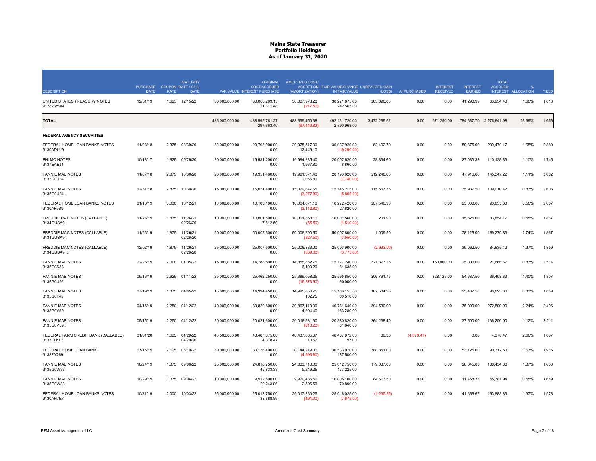| <b>DESCRIPTION</b>                               | <b>PURCHASE</b><br><b>DATE</b> | <b>RATE</b> | <b>MATURITY</b><br><b>COUPON DATE / CALL</b><br><b>DATE</b> |                | <b>ORIGINAL</b><br>COST/ACCRUED<br>PAR VALUE INTEREST PURCHASE | AMORTIZED COST/<br>(AMORTIZATION) | ACCRETION FAIR VALUE/CHANGE UNREALIZED GAIN<br>IN FAIR VALUE | (LOSS)       | AI PURCHASED | <b>INTEREST</b><br><b>RECEIVED</b> | <b>INTEREST</b><br><b>EARNED</b> | <b>TOTAL</b><br><b>ACCRUED</b><br><b>INTEREST</b> | <b>ALLOCATION</b> | YIELD |
|--------------------------------------------------|--------------------------------|-------------|-------------------------------------------------------------|----------------|----------------------------------------------------------------|-----------------------------------|--------------------------------------------------------------|--------------|--------------|------------------------------------|----------------------------------|---------------------------------------------------|-------------------|-------|
| UNITED STATES TREASURY NOTES<br>912828YW4        | 12/31/19                       | 1.625       | 12/15/22                                                    | 30,000,000.00  | 30.008.203.13<br>21,311.48                                     | 30,007,978.20<br>(217.50)         | 30,271,875.00<br>242,565.00                                  | 263,896.80   | 0.00         | 0.00                               | 41,290.99                        | 63,934.43                                         | 1.66%             | 1.616 |
| <b>TOTAL</b>                                     |                                |             |                                                             | 486,000,000.00 | 488,995,781.27<br>297,663.40                                   | 488,659,450.38<br>(97.440.83)     | 492,131,720.00<br>2,790,968.00                               | 3,472,269.62 | 0.00         | 971,250.00                         |                                  | 784,637.70 2,276,641.98                           | 26.99%            | 1.656 |
| <b>FEDERAL AGENCY SECURITIES</b>                 |                                |             |                                                             |                |                                                                |                                   |                                                              |              |              |                                    |                                  |                                                   |                   |       |
| FEDERAL HOME LOAN BANKS NOTES<br>3130ADUJ9       | 11/08/18                       | 2.375       | 03/30/20                                                    | 30,000,000.00  | 29,793,900.00<br>0.00                                          | 29,975,517.30<br>12,449.10        | 30,037,920.00<br>(19,290.00)                                 | 62,402.70    | 0.00         | 0.00                               | 59,375.00                        | 239,479.17                                        | 1.65%             | 2.880 |
| <b>FHLMC NOTES</b><br>3137EAEJ4                  | 10/18/17                       | 1.625       | 09/29/20                                                    | 20,000,000.00  | 19,931,200.00<br>0.00                                          | 19,984,285.40<br>1,967.80         | 20,007,620.00<br>8,860.00                                    | 23,334.60    | 0.00         | 0.00                               | 27,083.33                        | 110,138.89                                        | 1.10%             | 1.745 |
| <b>FANNIE MAE NOTES</b><br>3135G0U84             | 11/07/18                       | 2.875       | 10/30/20                                                    | 20,000,000.00  | 19,951,400.00<br>0.00                                          | 19,981,371.40<br>2.056.80         | 20,193,620.00<br>(7,740.00)                                  | 212,248.60   | 0.00         | 0.00                               | 47,916.66                        | 145,347.22                                        | 1.11%             | 3.002 |
| <b>FANNIE MAE NOTES</b><br>3135G0U84             | 12/31/18                       | 2.875       | 10/30/20                                                    | 15,000,000.00  | 15,071,400.00<br>0.00                                          | 15,029,647.65<br>(3,277.80)       | 15, 145, 215.00<br>(5,805.00)                                | 115,567.35   | 0.00         | 0.00                               | 35,937.50                        | 109,010.42                                        | 0.83%             | 2.606 |
| FEDERAL HOME LOAN BANKS NOTES<br>3130AF5B9       | 01/16/19                       | 3.000       | 10/12/21                                                    | 10,000,000.00  | 10,103,100.00<br>0.00                                          | 10,064,871.10<br>(3, 112.80)      | 10,272,420.00<br>27,820.00                                   | 207,548.90   | 0.00         | 0.00                               | 25,000.00                        | 90,833.33                                         | 0.56%             | 2.607 |
| FREDDIE MAC NOTES (CALLABLE)<br>3134GUSA9        | 11/26/19                       | 1.875       | 11/26/21<br>02/26/20                                        | 10,000,000.00  | 10,001,500.00<br>7,812.50                                      | 10,001,358.10<br>(65.50)          | 10,001,560.00<br>(1,510.00)                                  | 201.90       | 0.00         | 0.00                               | 15,625.00                        | 33,854.17                                         | 0.55%             | 1.867 |
| FREDDIE MAC NOTES (CALLABLE)<br>3134GUSA9        | 11/26/19                       | 1.875       | 11/26/21<br>02/26/20                                        | 50,000,000.00  | 50,007,500.00<br>0.00                                          | 50,006,790.50<br>(327.50)         | 50,007,800.00<br>(7,550.00)                                  | 1,009.50     | 0.00         | 0.00                               | 78,125.00                        | 169,270.83                                        | 2.74%             | 1.867 |
| FREDDIE MAC NOTES (CALLABLE)<br>3134GUSA9.       | 12/02/19                       | 1.875       | 11/26/21<br>02/26/20                                        | 25,000,000.00  | 25,007,500.00<br>0.00                                          | 25,006,833.00<br>(339.00)         | 25,003,900.00<br>(3,775.00)                                  | (2,933.00)   | 0.00         | 0.00                               | 39,062.50                        | 84,635.42                                         | 1.37%             | 1.859 |
| <b>FANNIE MAE NOTES</b><br>3135G0S38             | 02/26/19                       | 2.000       | 01/05/22                                                    | 15,000,000.00  | 14,788,500.00<br>0.00                                          | 14,855,862.75<br>6,100.20         | 15, 177, 240.00<br>61,635.00                                 | 321,377.25   | 0.00         | 150,000.00                         | 25,000.00                        | 21,666.67                                         | 0.83%             | 2.514 |
| <b>FANNIE MAE NOTES</b><br>3135G0U92             | 09/16/19                       | 2.625       | 01/11/22                                                    | 25,000,000.00  | 25.462.250.00<br>0.00                                          | 25.389.058.25<br>(16, 373.50)     | 25.595.850.00<br>90.000.00                                   | 206,791.75   | 0.00         | 328.125.00                         | 54,687.50                        | 36,458.33                                         | 1.40%             | 1.807 |
| <b>FANNIE MAE NOTES</b><br>3135G0T45             | 07/19/19                       | 1.875       | 04/05/22                                                    | 15,000,000.00  | 14,994,450.00<br>0.00                                          | 14,995,650.75<br>162.75           | 15, 163, 155.00<br>66,510.00                                 | 167,504.25   | 0.00         | 0.00                               | 23,437.50                        | 90,625.00                                         | 0.83%             | 1.889 |
| <b>FANNIE MAE NOTES</b><br>3135G0V59             | 04/16/19                       | 2.250       | 04/12/22                                                    | 40,000,000.00  | 39,820,800.00<br>0.00                                          | 39,867,110.00<br>4,904.40         | 40,761,640.00<br>163,280.00                                  | 894,530.00   | 0.00         | 0.00                               | 75,000.00                        | 272,500.00                                        | 2.24%             | 2.406 |
| <b>FANNIE MAE NOTES</b><br>3135G0V59             | 05/15/19                       | 2.250       | 04/12/22                                                    | 20.000.000.00  | 20.021.600.00<br>0.00                                          | 20.016.581.60<br>(613.20)         | 20.380.820.00<br>81,640.00                                   | 364.238.40   | 0.00         | 0.00                               | 37,500.00                        | 136,250.00                                        | 1.12%             | 2.211 |
| FEDERAL FARM CREDIT BANK (CALLABLE)<br>3133ELKL7 | 01/31/20                       | 1.625       | 04/29/22<br>04/29/20                                        | 48,500,000.00  | 48,487,875.00<br>4,378.47                                      | 48,487,885.67<br>10.67            | 48,487,972.00<br>97.00                                       | 86.33        | (4,378.47)   | 0.00                               | 0.00                             | 4,378.47                                          | 2.66%             | 1.637 |
| FEDERAL HOME LOAN BANK<br>313379Q69              | 07/15/19                       | 2.125       | 06/10/22                                                    | 30,000,000.00  | 30,176,400.00<br>0.00                                          | 30,144,219.00<br>(4,993.80)       | 30,533,070.00<br>187,500.00                                  | 388,851.00   | 0.00         | 0.00                               | 53,125.00                        | 90,312.50                                         | 1.67%             | 1.916 |
| <b>FANNIE MAE NOTES</b><br>3135G0W33             | 10/24/19                       | 1.375       | 09/06/22                                                    | 25,000,000.00  | 24,816,750.00<br>45,833.33                                     | 24,833,713.00<br>5,246.25         | 25,012,750.00<br>177,225.00                                  | 179,037.00   | 0.00         | 0.00                               | 28,645.83                        | 138,454.86                                        | 1.37%             | 1.638 |
| <b>FANNIE MAE NOTES</b><br>3135G0W33             | 10/29/19                       | 1.375       | 09/06/22                                                    | 10,000,000.00  | 9,912,800.00<br>20.243.06                                      | 9,920,486.50<br>2,506.50          | 10,005,100.00<br>70.890.00                                   | 84,613.50    | 0.00         | 0.00                               | 11,458.33                        | 55,381.94                                         | 0.55%             | 1.689 |
| FEDERAL HOME LOAN BANKS NOTES<br>3130AH7E7       | 10/31/19                       | 2.000       | 10/03/22                                                    | 25,000,000.00  | 25,018,750.00<br>38,888.89                                     | 25,017,260.25<br>(491.00)         | 25,016,025.00<br>(7,675.00)                                  | (1,235.25)   | 0.00         | 0.00                               | 41,666.67                        | 163,888.89                                        | 1.37%             | 1.973 |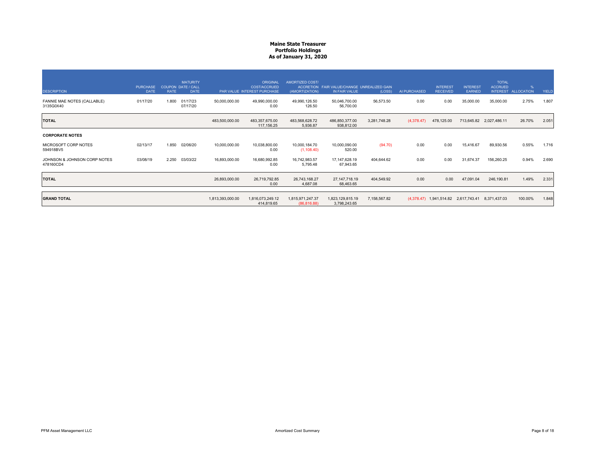| <b>DESCRIPTION</b>                        | <b>PURCHASE</b><br><b>DATE</b> | COUPON DATE / CALL<br><b>RATE</b> | <b>MATURITY</b><br><b>DATE</b> |                  | ORIGINAL<br><b>COST/ACCRUED</b><br>PAR VALUE INTEREST PURCHASE | AMORTIZED COST/<br>(AMORTIZATION) | ACCRETION FAIR VALUE/CHANGE UNREALIZED GAIN<br>IN FAIR VALUE | (LOSS)       | AI PURCHASED | <b>INTEREST</b><br><b>RECEIVED</b> | <b>INTEREST</b><br><b>EARNED</b> | <b>TOTAL</b><br><b>ACCRUED</b>                    | %<br>INTEREST ALLOCATION | YIELD |
|-------------------------------------------|--------------------------------|-----------------------------------|--------------------------------|------------------|----------------------------------------------------------------|-----------------------------------|--------------------------------------------------------------|--------------|--------------|------------------------------------|----------------------------------|---------------------------------------------------|--------------------------|-------|
| FANNIE MAE NOTES (CALLABLE)<br>3135G0X40  | 01/17/20                       | 1.800                             | 01/17/23<br>07/17/20           | 50,000,000.00    | 49,990,000.00<br>0.00                                          | 49,990,126.50<br>126.50           | 50,046,700.00<br>56,700.00                                   | 56,573.50    | 0.00         | 0.00                               | 35,000.00                        | 35,000.00                                         | 2.75%                    | 1.807 |
| <b>TOTAL</b>                              |                                |                                   |                                | 483,500,000.00   | 483,357,675.00<br>117,156.25                                   | 483,568,628.72<br>5,936.87        | 486,850,377.00<br>938,812.00                                 | 3,281,748.28 | (4,378.47)   | 478,125.00                         |                                  | 713,645.82 2,027,486.11                           | 26.70%                   | 2.051 |
| <b>CORPORATE NOTES</b>                    |                                |                                   |                                |                  |                                                                |                                   |                                                              |              |              |                                    |                                  |                                                   |                          |       |
| MICROSOFT CORP NOTES<br>594918BV5         | 02/13/17                       | 1.850                             | 02/06/20                       | 10,000,000.00    | 10,038,800.00<br>0.00                                          | 10,000,184.70<br>(1, 108.40)      | 10,000,090.00<br>520.00                                      | (94.70)      | 0.00         | 0.00                               | 15,416.67                        | 89,930.56                                         | 0.55%                    | 1.716 |
| JOHNSON & JOHNSON CORP NOTES<br>478160CD4 | 03/08/19                       | 2.250                             | 03/03/22                       | 16,893,000.00    | 16,680,992.85<br>0.00                                          | 16,742,983.57<br>5,795.48         | 17, 147, 628. 19<br>67,943.65                                | 404,644.62   | 0.00         | 0.00                               | 31,674.37                        | 156,260.25                                        | 0.94%                    | 2.690 |
| <b>TOTAL</b>                              |                                |                                   |                                | 26,893,000.00    | 26,719,792.85<br>0.00                                          | 26,743,168.27<br>4,687.08         | 27, 147, 718. 19<br>68,463.65                                | 404,549.92   | 0.00         | 0.00                               | 47,091.04                        | 246,190.81                                        | 1.49%                    | 2.331 |
| <b>GRAND TOTAL</b>                        |                                |                                   |                                | 1,813,393,000.00 | 1,816,073,249.12<br>414,819.65                                 | 1,815,971,247.37<br>(86, 816.88)  | 1,823,129,815.19<br>3,798,243.65                             | 7,158,567.82 |              |                                    |                                  | (4,378.47) 1,941,514.82 2,617,743.41 8,371,437.03 | 100.00%                  | 1.848 |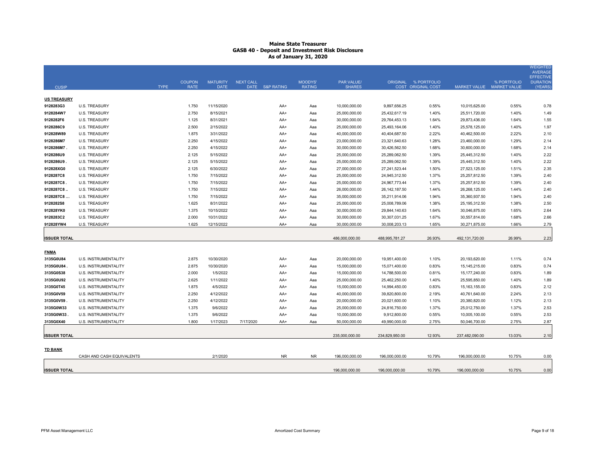|                     |                             |             |               |                 |                  |                 |               |                |                 |                      |                  |                           | <b>WEIGHTED</b><br><b>AVERAGE</b>   |
|---------------------|-----------------------------|-------------|---------------|-----------------|------------------|-----------------|---------------|----------------|-----------------|----------------------|------------------|---------------------------|-------------------------------------|
|                     |                             |             | <b>COUPON</b> | <b>MATURITY</b> | <b>NEXT CALL</b> |                 | MOODYS'       | PAR VALUE/     |                 | ORIGINAL % PORTFOLIO |                  | % PORTFOLIO               | <b>EFFECTIVE</b><br><b>DURATION</b> |
| <b>CUSIP</b>        |                             | <b>TYPE</b> | <b>RATE</b>   | <b>DATE</b>     |                  | DATE S&P RATING | <b>RATING</b> | <b>SHARES</b>  |                 | COST ORIGINAL COST   |                  | MARKET VALUE MARKET VALUE | (YEARS)                             |
| <b>US TREASURY</b>  |                             |             |               |                 |                  |                 |               |                |                 |                      |                  |                           |                                     |
| 9128283G3           | <b>U.S. TREASURY</b>        |             | 1.750         | 11/15/2020      |                  | AA+             | Aaa           | 10,000,000.00  | 9,897,656.25    | 0.55%                | 10,015,625.00    | 0.55%                     | 0.78                                |
| 9128284W7           | <b>U.S. TREASURY</b>        |             | 2.750         | 8/15/2021       |                  | AA+             | Aaa           | 25,000,000.00  | 25,432,617.19   | 1.40%                | 25,511,720.00    | 1.40%                     | 1.49                                |
| 9128282F6           | <b>U.S. TREASURY</b>        |             | 1.125         | 8/31/2021       |                  | AA+             | Aaa           | 30,000,000.00  | 29,764,453.13   | 1.64%                | 29,873,436.00    | 1.64%                     | 1.55                                |
| 9128286C9           | <b>U.S. TREASURY</b>        |             | 2.500         | 2/15/2022       |                  | AA+             | Aaa           | 25,000,000.00  | 25,493,164.06   | 1.40%                | 25,578,125.00    | 1.40%                     | 1.97                                |
| 912828W89           | <b>U.S. TREASURY</b>        |             | 1.875         | 3/31/2022       |                  | AA+             | Aaa           | 40,000,000.00  | 40,404,687.50   | 2.22%                | 40,462,500.00    | 2.22%                     | 2.10                                |
| 9128286M7           | <b>U.S. TREASURY</b>        |             | 2.250         | 4/15/2022       |                  | AA+             | Aaa           | 23,000,000.00  | 23,321,640.63   | 1.28%                | 23,460,000.00    | 1.29%                     | 2.14                                |
| 9128286M7           | <b>U.S. TREASURY</b>        |             | 2.250         | 4/15/2022       |                  | AA+             | Aaa           | 30,000,000.00  | 30,426,562.50   | 1.68%                | 30,600,000.00    | 1.68%                     | 2.14                                |
| 9128286U9           | <b>U.S. TREASURY</b>        |             | 2.125         | 5/15/2022       |                  | AA+             | Aaa           | 25,000,000.00  | 25,289,062.50   | 1.39%                | 25,445,312.50    | 1.40%                     | 2.22                                |
| 9128286U9.          | <b>U.S. TREASURY</b>        |             | 2.125         | 5/15/2022       |                  | AA+             | Aaa           | 25,000,000.00  | 25,289,062.50   | 1.39%                | 25,445,312.50    | 1.40%                     | 2.22                                |
| 912828XG0           | <b>U.S. TREASURY</b>        |             | 2.125         | 6/30/2022       |                  | AA+             | Aaa           | 27,000,000.00  | 27,241,523.44   | 1.50%                | 27,523,125.00    | 1.51%                     | 2.35                                |
| 9128287C8           | <b>U.S. TREASURY</b>        |             | 1.750         | 7/15/2022       |                  | AA+             | Aaa           | 25,000,000.00  | 24,945,312.50   | 1.37%                | 25,257,812.50    | 1.39%                     | 2.40                                |
| 9128287C8.          | <b>U.S. TREASURY</b>        |             | 1.750         | 7/15/2022       |                  | AA+             | Aaa           | 25,000,000.00  | 24,967,773.44   | 1.37%                | 25,257,812.50    | 1.39%                     | 2.40                                |
| 9128287C8           | U.S. TREASURY               |             | 1.750         | 7/15/2022       |                  | AA+             | Aaa           | 26,000,000.00  | 26, 142, 187.50 | 1.44%                | 26,268,125.00    | 1.44%                     | 2.40                                |
| 9128287C8           | <b>U.S. TREASURY</b>        |             | 1.750         | 7/15/2022       |                  | AA+             | Aaa           | 35,000,000.00  | 35,211,914.06   | 1.94%                | 35,360,937.50    | 1.94%                     | 2.40                                |
| 9128282S8           | <b>U.S. TREASURY</b>        |             | 1.625         | 8/31/2022       |                  | AA+             | Aaa           | 25,000,000.00  | 25,008,789.06   | 1.38%                | 25, 195, 312.50  | 1.38%                     | 2.50                                |
| 912828YK0           | <b>U.S. TREASURY</b>        |             | 1.375         | 10/15/2022      |                  | AA+             | Aaa           | 30,000,000.00  | 29,844,140.63   | 1.64%                | 30,046,875.00    | 1.65%                     | 2.64                                |
| 9128283C2           | <b>U.S. TREASURY</b>        |             | 2.000         | 10/31/2022      |                  | AA+             | Aaa           | 30,000,000.00  | 30,307,031.25   | 1.67%                | 30,557,814.00    | 1.68%                     | 2.66                                |
| 912828YW4           | <b>U.S. TREASURY</b>        |             | 1.625         | 12/15/2022      |                  | AA+             | Aaa           | 30,000,000.00  | 30,008,203.13   | 1.65%                | 30,271,875.00    | 1.66%                     | 2.79                                |
|                     |                             |             |               |                 |                  |                 |               |                |                 |                      |                  |                           |                                     |
| <b>ISSUER TOTAL</b> |                             |             |               |                 |                  |                 |               | 486,000,000.00 | 488,995,781.27  | 26.93%               | 492, 131, 720.00 | 26.99%                    | 2.23                                |
| <b>FNMA</b>         |                             |             |               |                 |                  |                 |               |                |                 |                      |                  |                           |                                     |
| 3135G0U84           | U.S. INSTRUMENTALITY        |             | 2.875         | 10/30/2020      |                  | AA+             | Aaa           | 20,000,000.00  | 19,951,400.00   | 1.10%                | 20,193,620.00    | 1.11%                     | 0.74                                |
| 3135G0U84.          | U.S. INSTRUMENTALITY        |             | 2.875         | 10/30/2020      |                  | AA+             | Aaa           | 15,000,000.00  | 15,071,400.00   | 0.83%                | 15, 145, 215.00  | 0.83%                     | 0.74                                |
| 3135G0S38           | <b>U.S. INSTRUMENTALITY</b> |             | 2.000         | 1/5/2022        |                  | AA+             | Aaa           | 15,000,000.00  | 14,788,500.00   | 0.81%                | 15,177,240.00    | 0.83%                     | 1.89                                |
| 3135G0U92           | U.S. INSTRUMENTALITY        |             | 2.625         | 1/11/2022       |                  | AA+             | Aaa           | 25,000,000.00  | 25,462,250.00   | 1.40%                | 25,595,850.00    | 1.40%                     | 1.89                                |
| 3135G0T45           | U.S. INSTRUMENTALITY        |             | 1.875         | 4/5/2022        |                  | AA+             | Aaa           | 15,000,000.00  | 14,994,450.00   | 0.83%                | 15, 163, 155.00  | 0.83%                     | 2.12                                |
| 3135G0V59           | <b>U.S. INSTRUMENTALITY</b> |             | 2.250         | 4/12/2022       |                  | AA+             | Aaa           | 40,000,000.00  | 39,820,800.00   | 2.19%                | 40,761,640.00    | 2.24%                     | 2.13                                |
| 3135G0V59           | U.S. INSTRUMENTALITY        |             | 2.250         | 4/12/2022       |                  | AA+             | Aaa           | 20,000,000.00  | 20,021,600.00   | 1.10%                | 20,380,820.00    | 1.12%                     | 2.13                                |
| 3135G0W33           | U.S. INSTRUMENTALITY        |             | 1.375         | 9/6/2022        |                  | AA+             | Aaa           | 25,000,000.00  | 24,816,750.00   | 1.37%                | 25,012,750.00    | 1.37%                     | 2.53                                |
| 3135G0W33           | <b>U.S. INSTRUMENTALITY</b> |             | 1.375         | 9/6/2022        |                  | AA+             | Aaa           | 10,000,000.00  | 9,912,800.00    | 0.55%                | 10,005,100.00    | 0.55%                     | 2.53                                |
| 3135G0X40           | U.S. INSTRUMENTALITY        |             | 1.800         | 1/17/2023       | 7/17/2020        | AA+             | Aaa           | 50,000,000.00  | 49,990,000.00   | 2.75%                | 50,046,700.00    | 2.75%                     | 2.87                                |
|                     |                             |             |               |                 |                  |                 |               |                |                 |                      |                  |                           |                                     |
| <b>ISSUER TOTAL</b> |                             |             |               |                 |                  |                 |               | 235,000,000.00 | 234,829,950.00  | 12.93%               | 237,482,090.00   | 13.03%                    | 2.10                                |
| <b>TD BANK</b>      |                             |             |               |                 |                  |                 |               |                |                 |                      |                  |                           |                                     |
|                     | CASH AND CASH EQUIVALENTS   |             |               | 2/1/2020        |                  | <b>NR</b>       | <b>NR</b>     | 196,000,000.00 | 196,000,000.00  | 10.79%               | 196,000,000.00   | 10.75%                    | 0.00                                |
|                     |                             |             |               |                 |                  |                 |               |                |                 |                      |                  |                           |                                     |
| <b>ISSUER TOTAL</b> |                             |             |               |                 |                  |                 |               | 196.000.000.00 | 196.000.000.00  | 10.79%               | 196.000.000.00   | 10.75%                    | 0.00                                |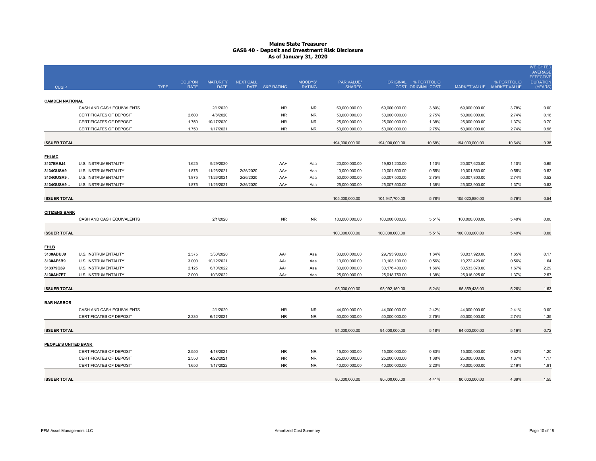| <b>CUSIP</b>                |                                | <b>TYPE</b> | <b>COUPON</b><br><b>RATE</b> | <b>MATURITY</b><br><b>DATE</b> | <b>NEXT CALL</b> | DATE S&P RATING | MOODYS'<br><b>RATING</b> | PAR VALUE/<br><b>SHARES</b> |                | ORIGINAL % PORTFOLIO<br>COST ORIGINAL COST | MARKET VALUE MARKET VALUE | % PORTFOLIO | <b>WEIGHTED</b><br><b>AVERAGE</b><br><b>EFFECTIVE</b><br><b>DURATION</b><br>(YEARS |
|-----------------------------|--------------------------------|-------------|------------------------------|--------------------------------|------------------|-----------------|--------------------------|-----------------------------|----------------|--------------------------------------------|---------------------------|-------------|------------------------------------------------------------------------------------|
|                             |                                |             |                              |                                |                  |                 |                          |                             |                |                                            |                           |             |                                                                                    |
| <b>CAMDEN NATIONAL</b>      |                                |             |                              |                                |                  |                 |                          |                             |                |                                            |                           |             |                                                                                    |
|                             | CASH AND CASH EQUIVALENTS      |             |                              | 2/1/2020                       |                  | <b>NR</b>       | <b>NR</b>                | 69,000,000.00               | 69,000,000.00  | 3.80%                                      | 69,000,000.00             | 3.78%       | 0.00                                                                               |
|                             | <b>CERTIFICATES OF DEPOSIT</b> |             | 2.600                        | 4/8/2020                       |                  | <b>NR</b>       | <b>NR</b>                | 50,000,000.00               | 50,000,000.00  | 2.75%                                      | 50,000,000.00             | 2.74%       | 0.18                                                                               |
|                             | CERTIFICATES OF DEPOSIT        |             | 1.750                        | 10/17/2020                     |                  | <b>NR</b>       | <b>NR</b>                | 25,000,000.00               | 25,000,000.00  | 1.38%                                      | 25,000,000.00             | 1.37%       | 0.70                                                                               |
|                             | CERTIFICATES OF DEPOSIT        |             | 1.750                        | 1/17/2021                      |                  | <b>NR</b>       | <b>NR</b>                | 50,000,000.00               | 50,000,000.00  | 2.75%                                      | 50,000,000.00             | 2.74%       | 0.96                                                                               |
| <b>ISSUER TOTAL</b>         |                                |             |                              |                                |                  |                 |                          | 194,000,000.00              | 194,000,000.00 | 10.68%                                     | 194,000,000.00            | 10.64%      | 0.38                                                                               |
| <b>FHLMC</b>                |                                |             |                              |                                |                  |                 |                          |                             |                |                                            |                           |             |                                                                                    |
| 3137EAEJ4                   | U.S. INSTRUMENTALITY           |             | 1.625                        | 9/29/2020                      |                  | AA+             | Aaa                      | 20,000,000.00               | 19,931,200.00  | 1.10%                                      | 20,007,620.00             | 1.10%       | 0.65                                                                               |
| 3134GUSA9                   | U.S. INSTRUMENTALITY           |             | 1.875                        | 11/26/2021                     | 2/26/2020        | AA+             | Aaa                      | 10,000,000.00               | 10,001,500.00  | 0.55%                                      | 10,001,560.00             | 0.55%       | 0.52                                                                               |
| 3134GUSA9                   | U.S. INSTRUMENTALITY           |             | 1.875                        | 11/26/2021                     | 2/26/2020        | AA+             | Aaa                      | 50,000,000.00               | 50,007,500.00  | 2.75%                                      | 50,007,800.00             | 2.74%       | 0.52                                                                               |
| 3134GUSA9.                  | U.S. INSTRUMENTALITY           |             | 1.875                        | 11/26/2021                     | 2/26/2020        | AA+             | Aaa                      | 25,000,000.00               | 25,007,500.00  | 1.38%                                      | 25,003,900.00             | 1.37%       | 0.52                                                                               |
| <b>ISSUER TOTAL</b>         |                                |             |                              |                                |                  |                 |                          | 105,000,000.00              | 104,947,700.00 | 5.78%                                      | 105,020,880.00            | 5.76%       | 0.54                                                                               |
| <b>CITIZENS BANK</b>        |                                |             |                              |                                |                  |                 |                          |                             |                |                                            |                           |             |                                                                                    |
|                             | CASH AND CASH EQUIVALENTS      |             |                              | 2/1/2020                       |                  | NR.             | <b>NR</b>                | 100,000,000.00              | 100,000,000.00 | 5.51%                                      | 100,000,000.00            | 5.49%       | 0.00                                                                               |
| <b>ISSUER TOTAL</b>         |                                |             |                              |                                |                  |                 |                          | 100,000,000.00              | 100,000,000.00 | 5.51%                                      | 100,000,000.00            | 5.49%       | 0.00                                                                               |
| <b>FHLB</b>                 |                                |             |                              |                                |                  |                 |                          |                             |                |                                            |                           |             |                                                                                    |
| 3130ADUJ9                   | U.S. INSTRUMENTALITY           |             | 2.375                        | 3/30/2020                      |                  | AA+             | Aaa                      | 30,000,000.00               | 29,793,900.00  | 1.64%                                      | 30,037,920.00             | 1.65%       | 0.17                                                                               |
| 3130AF5B9                   | U.S. INSTRUMENTALITY           |             | 3.000                        | 10/12/2021                     |                  | AA+             | Aaa                      | 10,000,000.00               | 10,103,100.00  | 0.56%                                      | 10,272,420.00             | 0.56%       | 1.64                                                                               |
| 313379Q69                   | U.S. INSTRUMENTALITY           |             | 2.125                        | 6/10/2022                      |                  | AA+             | Aaa                      | 30,000,000.00               | 30,176,400.00  | 1.66%                                      | 30,533,070.00             | 1.67%       | 2.29                                                                               |
| 3130AH7E7                   | U.S. INSTRUMENTALITY           |             | 2.000                        | 10/3/2022                      |                  | AA+             | Aaa                      | 25,000,000.00               | 25,018,750.00  | 1.38%                                      | 25,016,025.00             | 1.37%       | 2.57                                                                               |
| <b>ISSUER TOTAL</b>         |                                |             |                              |                                |                  |                 |                          | 95,000,000.00               | 95,092,150.00  | 5.24%                                      | 95,859,435.00             | 5.26%       | 1.63                                                                               |
| <b>BAR HARBOR</b>           |                                |             |                              |                                |                  |                 |                          |                             |                |                                            |                           |             |                                                                                    |
|                             | CASH AND CASH EQUIVALENTS      |             |                              | 2/1/2020                       |                  | <b>NR</b>       | <b>NR</b>                | 44,000,000.00               | 44,000,000.00  | 2.42%                                      | 44,000,000.00             | 2.41%       | 0.00                                                                               |
|                             | CERTIFICATES OF DEPOSIT        |             | 2.330                        | 6/12/2021                      |                  | <b>NR</b>       | <b>NR</b>                | 50,000,000.00               | 50,000,000.00  | 2.75%                                      | 50,000,000.00             | 2.74%       | 1.35                                                                               |
| <b>ISSUER TOTAL</b>         |                                |             |                              |                                |                  |                 |                          | 94,000,000.00               | 94,000,000.00  | 5.18%                                      | 94,000,000.00             | 5.16%       | 0.72                                                                               |
| <b>PEOPLE'S UNITED BANK</b> |                                |             |                              |                                |                  |                 |                          |                             |                |                                            |                           |             |                                                                                    |
|                             | CERTIFICATES OF DEPOSIT        |             | 2.550                        | 4/18/2021                      |                  | <b>NR</b>       | <b>NR</b>                | 15,000,000.00               | 15,000,000.00  | 0.83%                                      | 15,000,000.00             | 0.82%       | 1.20                                                                               |
|                             | CERTIFICATES OF DEPOSIT        |             | 2.550                        | 4/22/2021                      |                  | <b>NR</b>       | <b>NR</b>                | 25,000,000.00               | 25,000,000.00  | 1.38%                                      | 25,000,000.00             | 1.37%       | 1.17                                                                               |
|                             | CERTIFICATES OF DEPOSIT        |             | 1.650                        | 1/17/2022                      |                  | <b>NR</b>       | <b>NR</b>                | 40,000,000.00               | 40,000,000.00  | 2.20%                                      | 40,000,000.00             | 2.19%       | 1.91                                                                               |
| <b>ISSUER TOTAL</b>         |                                |             |                              |                                |                  |                 |                          | 80,000,000.00               | 80,000,000.00  | 4.41%                                      | 80,000,000.00             | 4.39%       | 1.55                                                                               |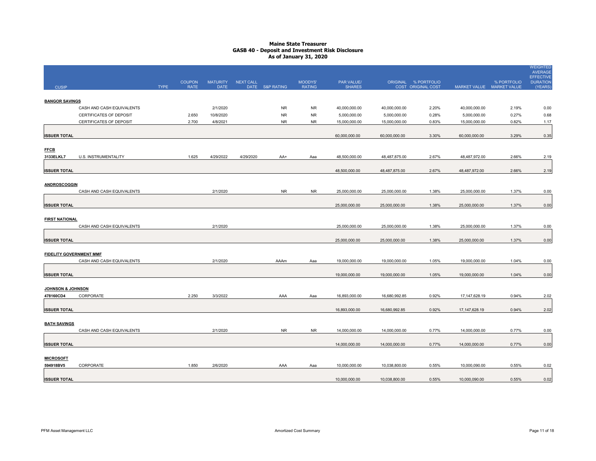|                                |                           |             |                              |                                |                  |                 |                          |                             |               |                                            |                           |             | <b>WEIGHTED</b><br><b>AVERAGE</b><br><b>EFFECTIVE</b> |
|--------------------------------|---------------------------|-------------|------------------------------|--------------------------------|------------------|-----------------|--------------------------|-----------------------------|---------------|--------------------------------------------|---------------------------|-------------|-------------------------------------------------------|
| <b>CUSIP</b>                   |                           | <b>TYPE</b> | <b>COUPON</b><br><b>RATE</b> | <b>MATURITY</b><br><b>DATE</b> | <b>NEXT CALL</b> | DATE S&P RATING | MOODYS'<br><b>RATING</b> | PAR VALUE/<br><b>SHARES</b> |               | ORIGINAL % PORTFOLIO<br>COST ORIGINAL COST | MARKET VALUE MARKET VALUE | % PORTFOLIO | <b>DURATION</b><br>(YEARS)                            |
| <b>BANGOR SAVINGS</b>          |                           |             |                              |                                |                  |                 |                          |                             |               |                                            |                           |             |                                                       |
|                                | CASH AND CASH EQUIVALENTS |             |                              | 2/1/2020                       |                  | <b>NR</b>       | <b>NR</b>                | 40,000,000.00               | 40,000,000.00 | 2.20%                                      | 40,000,000.00             | 2.19%       | 0.00                                                  |
|                                | CERTIFICATES OF DEPOSIT   |             | 2.650                        | 10/8/2020                      |                  | <b>NR</b>       | <b>NR</b>                | 5,000,000.00                | 5,000,000.00  | 0.28%                                      | 5,000,000.00              | 0.27%       | 0.68                                                  |
|                                | CERTIFICATES OF DEPOSIT   |             | 2.700                        | 4/8/2021                       |                  | <b>NR</b>       | <b>NR</b>                | 15,000,000.00               | 15,000,000.00 | 0.83%                                      | 15,000,000.00             | 0.82%       | 1.17                                                  |
| <b>ISSUER TOTAL</b>            |                           |             |                              |                                |                  |                 |                          | 60,000,000.00               | 60,000,000.00 | 3.30%                                      | 60,000,000.00             | 3.29%       | 0.35                                                  |
| <b>FFCB</b>                    |                           |             |                              |                                |                  |                 |                          |                             |               |                                            |                           |             |                                                       |
| 3133ELKL7                      | U.S. INSTRUMENTALITY      |             | 1.625                        | 4/29/2022                      | 4/29/2020        | AA+             | Aaa                      | 48,500,000.00               | 48,487,875.00 | 2.67%                                      | 48,487,972.00             | 2.66%       | 2.19                                                  |
| <b>ISSUER TOTAL</b>            |                           |             |                              |                                |                  |                 |                          | 48,500,000.00               | 48,487,875.00 | 2.67%                                      | 48,487,972.00             | 2.66%       | 2.19                                                  |
| ANDROSCOGGIN                   |                           |             |                              |                                |                  |                 |                          |                             |               |                                            |                           |             |                                                       |
|                                | CASH AND CASH EQUIVALENTS |             |                              | 2/1/2020                       |                  | <b>NR</b>       | <b>NR</b>                | 25,000,000.00               | 25,000,000.00 | 1.38%                                      | 25,000,000.00             | 1.37%       | 0.00                                                  |
|                                |                           |             |                              |                                |                  |                 |                          |                             |               |                                            |                           |             |                                                       |
| <b>ISSUER TOTAL</b>            |                           |             |                              |                                |                  |                 |                          | 25,000,000.00               | 25,000,000.00 | 1.38%                                      | 25,000,000.00             | 1.37%       | 0.00                                                  |
| <b>FIRST NATIONAL</b>          |                           |             |                              |                                |                  |                 |                          |                             |               |                                            |                           |             |                                                       |
|                                | CASH AND CASH EQUIVALENTS |             |                              | 2/1/2020                       |                  |                 |                          | 25,000,000.00               | 25,000,000.00 | 1.38%                                      | 25,000,000.00             | 1.37%       | 0.00                                                  |
| <b>ISSUER TOTAL</b>            |                           |             |                              |                                |                  |                 |                          | 25,000,000.00               | 25,000,000.00 | 1.38%                                      | 25,000,000.00             | 1.37%       | 0.00                                                  |
| <b>FIDELITY GOVERNMENT MMF</b> |                           |             |                              |                                |                  |                 |                          |                             |               |                                            |                           |             |                                                       |
|                                | CASH AND CASH EQUIVALENTS |             |                              | 2/1/2020                       |                  | AAAm            | Aaa                      | 19,000,000.00               | 19,000,000.00 | 1.05%                                      | 19,000,000.00             | 1.04%       | 0.00                                                  |
| <b>ISSUER TOTAL</b>            |                           |             |                              |                                |                  |                 |                          | 19,000,000.00               | 19,000,000.00 | 1.05%                                      | 19,000,000.00             | 1.04%       | 0.00                                                  |
|                                |                           |             |                              |                                |                  |                 |                          |                             |               |                                            |                           |             |                                                       |
| JOHNSON & JOHNSON<br>478160CD4 | CORPORATE                 |             | 2.250                        | 3/3/2022                       |                  | AAA             | Aaa                      | 16,893,000.00               | 16,680,992.85 | 0.92%                                      | 17, 147, 628. 19          | 0.94%       | 2.02                                                  |
| <b>ISSUER TOTAL</b>            |                           |             |                              |                                |                  |                 |                          | 16,893,000.00               | 16,680,992.85 | 0.92%                                      | 17, 147, 628. 19          | 0.94%       | 2.02                                                  |
|                                |                           |             |                              |                                |                  |                 |                          |                             |               |                                            |                           |             |                                                       |
| <b>BATH SAVINGS</b>            |                           |             |                              |                                |                  |                 |                          |                             |               |                                            |                           |             |                                                       |
|                                | CASH AND CASH EQUIVALENTS |             |                              | 2/1/2020                       |                  | <b>NR</b>       | <b>NR</b>                | 14,000,000.00               | 14,000,000.00 | 0.77%                                      | 14,000,000.00             | 0.77%       | 0.00                                                  |
| <b>ISSUER TOTAL</b>            |                           |             |                              |                                |                  |                 |                          | 14,000,000.00               | 14,000,000.00 | 0.77%                                      | 14,000,000.00             | 0.77%       | 0.00                                                  |
| <b>MICROSOFT</b>               |                           |             |                              |                                |                  |                 |                          |                             |               |                                            |                           |             |                                                       |
| 594918BV5                      | CORPORATE                 |             | 1.850                        | 2/6/2020                       |                  | AAA             | Aaa                      | 10,000,000.00               | 10,038,800.00 | 0.55%                                      | 10,000,090.00             | 0.55%       | 0.02                                                  |
| <b>ISSUER TOTAL</b>            |                           |             |                              |                                |                  |                 |                          | 10,000,000.00               | 10,038,800.00 | 0.55%                                      | 10,000,090.00             | 0.55%       | 0.02                                                  |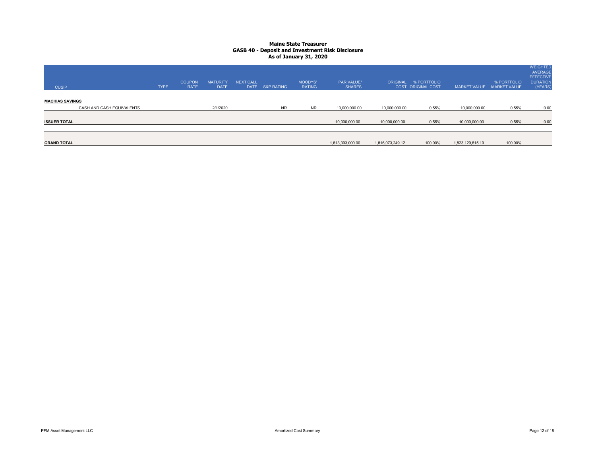| <b>CUSIP</b>                                        | <b>TYPE</b> | <b>COUPON</b><br><b>RATE</b> | <b>MATURITY</b><br><b>DATE</b> | <b>NEXT CALL</b><br><b>DATE</b> | S&P RATING | <b>MOODYS'</b><br><b>RATING</b> | <b>PAR VALUE/</b><br><b>SHARES</b> | ORIGINAL         | % PORTFOLIO<br>COST ORIGINAL COST | <b>MARKET VALUE</b> | % PORTFOLIO<br><b>MARKET VALUE</b> | <b>WEIGHTED</b><br><b>AVERAGE</b><br><b>EFFECTIVE</b><br><b>DURATION</b><br>(YEARS) |
|-----------------------------------------------------|-------------|------------------------------|--------------------------------|---------------------------------|------------|---------------------------------|------------------------------------|------------------|-----------------------------------|---------------------|------------------------------------|-------------------------------------------------------------------------------------|
| <b>MACHIAS SAVINGS</b><br>CASH AND CASH EQUIVALENTS |             |                              | 2/1/2020                       |                                 | <b>NR</b>  | <b>NR</b>                       | 10,000,000.00                      | 10,000,000.00    | 0.55%                             | 10,000,000.00       | 0.55%                              | 0.00                                                                                |
| <b>ISSUER TOTAL</b>                                 |             |                              |                                |                                 |            |                                 | 10,000,000.00                      | 10,000,000.00    | 0.55%                             | 10,000,000.00       | 0.55%                              | 0.00                                                                                |
| <b>GRAND TOTAL</b>                                  |             |                              |                                |                                 |            |                                 | 1,813,393,000.00                   | 1,816,073,249.12 | 100.00%                           | 1,823,129,815.19    | 100.00%                            |                                                                                     |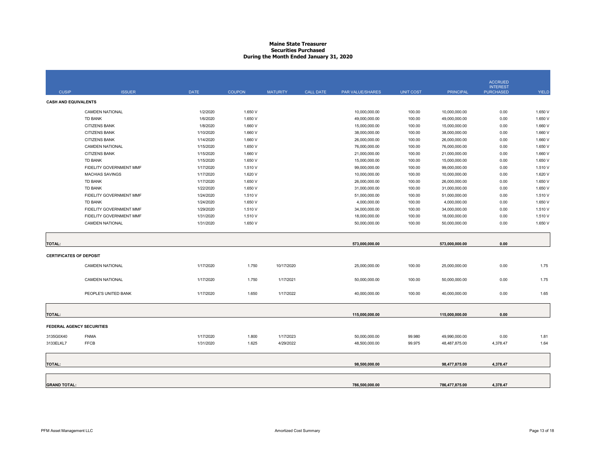#### **Maine State Treasurer Securities PurchasedDuring the Month Ended January 31, 2020**

|                                |                         |             |               |                 |                  |                  |                  |                  | <b>ACCRUED</b>                      |              |
|--------------------------------|-------------------------|-------------|---------------|-----------------|------------------|------------------|------------------|------------------|-------------------------------------|--------------|
| <b>CUSIP</b>                   | <b>ISSUER</b>           | <b>DATE</b> | <b>COUPON</b> | <b>MATURITY</b> | <b>CALL DATE</b> | PAR VALUE/SHARES | <b>UNIT COST</b> | <b>PRINCIPAL</b> | <b>INTEREST</b><br><b>PURCHASED</b> | <b>YIELD</b> |
| <b>CASH AND EQUIVALENTS</b>    |                         |             |               |                 |                  |                  |                  |                  |                                     |              |
|                                | <b>CAMDEN NATIONAL</b>  | 1/2/2020    | 1.650 V       |                 |                  | 10,000,000.00    | 100.00           | 10,000,000.00    | 0.00                                | 1.650 V      |
|                                | TD BANK                 | 1/6/2020    | 1.650 V       |                 |                  | 49,000,000.00    | 100.00           | 49,000,000.00    | 0.00                                | 1.650 V      |
|                                | <b>CITIZENS BANK</b>    | 1/8/2020    | 1.660 V       |                 |                  | 15,000,000.00    | 100.00           | 15,000,000.00    | 0.00                                | 1.660 V      |
|                                | <b>CITIZENS BANK</b>    | 1/10/2020   | 1.660 V       |                 |                  | 38,000,000.00    | 100.00           | 38,000,000.00    | 0.00                                | 1.660 V      |
|                                | CITIZENS BANK           | 1/14/2020   | 1.660 V       |                 |                  | 26,000,000.00    | 100.00           | 26,000,000.00    | 0.00                                | 1.660 V      |
|                                | <b>CAMDEN NATIONAL</b>  | 1/15/2020   | 1.650 V       |                 |                  | 76,000,000.00    | 100.00           | 76,000,000.00    | 0.00                                | 1.650 V      |
|                                | <b>CITIZENS BANK</b>    | 1/15/2020   | 1.660 V       |                 |                  | 21,000,000.00    | 100.00           | 21,000,000.00    | 0.00                                | 1.660 V      |
|                                | TD BANK                 | 1/15/2020   | 1.650 V       |                 |                  | 15,000,000.00    | 100.00           | 15,000,000.00    | 0.00                                | 1.650 V      |
|                                | FIDELITY GOVERNMENT MMF | 1/17/2020   | 1.510 V       |                 |                  | 99,000,000.00    | 100.00           | 99,000,000.00    | 0.00                                | 1.510 V      |
|                                | <b>MACHIAS SAVINGS</b>  | 1/17/2020   | 1.620 V       |                 |                  | 10,000,000.00    | 100.00           | 10,000,000.00    | 0.00                                | 1.620 V      |
|                                | TD BANK                 | 1/17/2020   | 1.650 V       |                 |                  | 26,000,000.00    | 100.00           | 26,000,000.00    | 0.00                                | 1.650 V      |
|                                | <b>TD BANK</b>          | 1/22/2020   | 1.650 V       |                 |                  | 31,000,000.00    | 100.00           | 31,000,000.00    | 0.00                                | 1.650 V      |
|                                | FIDELITY GOVERNMENT MMF | 1/24/2020   | 1.510 V       |                 |                  | 51,000,000.00    | 100.00           | 51,000,000.00    | 0.00                                | 1.510 V      |
|                                | <b>TD BANK</b>          | 1/24/2020   | 1.650 V       |                 |                  | 4,000,000.00     | 100.00           | 4,000,000.00     | 0.00                                | 1.650 V      |
|                                | FIDELITY GOVERNMENT MMF | 1/29/2020   | 1.510 V       |                 |                  | 34,000,000.00    | 100.00           | 34,000,000.00    | 0.00                                | 1.510 V      |
|                                | FIDELITY GOVERNMENT MMF | 1/31/2020   | 1.510 V       |                 |                  | 18,000,000.00    | 100.00           | 18,000,000.00    | 0.00                                | 1.510 V      |
|                                | CAMDEN NATIONAL         | 1/31/2020   | 1.650 V       |                 |                  | 50,000,000.00    | 100.00           | 50,000,000.00    | 0.00                                | 1.650 V      |
|                                |                         |             |               |                 |                  |                  |                  |                  |                                     |              |
| <b>TOTAL:</b>                  |                         |             |               |                 |                  | 573.000.000.00   |                  | 573.000.000.00   | 0.00                                |              |
| <b>CERTIFICATES OF DEPOSIT</b> |                         |             |               |                 |                  |                  |                  |                  |                                     |              |
|                                | <b>CAMDEN NATIONAL</b>  | 1/17/2020   | 1.750         | 10/17/2020      |                  | 25,000,000.00    | 100.00           | 25,000,000.00    | 0.00                                | 1.75         |
|                                | <b>CAMDEN NATIONAL</b>  | 1/17/2020   | 1.750         | 1/17/2021       |                  | 50,000,000.00    | 100.00           | 50,000,000.00    | 0.00                                | 1.75         |
|                                | PEOPLE'S UNITED BANK    | 1/17/2020   | 1.650         | 1/17/2022       |                  | 40,000,000.00    | 100.00           | 40,000,000.00    | 0.00                                | 1.65         |
|                                |                         |             |               |                 |                  |                  |                  |                  |                                     |              |
| <b>TOTAL:</b>                  |                         |             |               |                 |                  | 115,000,000.00   |                  | 115,000,000.00   | 0.00                                |              |
| FEDERAL AGENCY SECURITIES      |                         |             |               |                 |                  |                  |                  |                  |                                     |              |
| 3135G0X40                      | <b>FNMA</b>             | 1/17/2020   | 1.800         | 1/17/2023       |                  | 50,000,000.00    | 99.980           | 49,990,000.00    | 0.00                                | 1.81         |
| 3133ELKL7                      | <b>FFCB</b>             | 1/31/2020   | 1.625         | 4/29/2022       |                  | 48,500,000.00    | 99.975           | 48,487,875.00    | 4,378.47                            | 1.64         |
|                                |                         |             |               |                 |                  |                  |                  |                  |                                     |              |
| <b>TOTAL:</b>                  |                         |             |               |                 |                  | 98,500,000.00    |                  | 98,477,875.00    | 4,378.47                            |              |
|                                |                         |             |               |                 |                  |                  |                  |                  |                                     |              |
|                                |                         |             |               |                 |                  |                  |                  |                  |                                     |              |
| <b>GRAND TOTAL:</b>            |                         |             |               |                 |                  | 786,500,000.00   |                  | 786,477,875.00   | 4,378.47                            |              |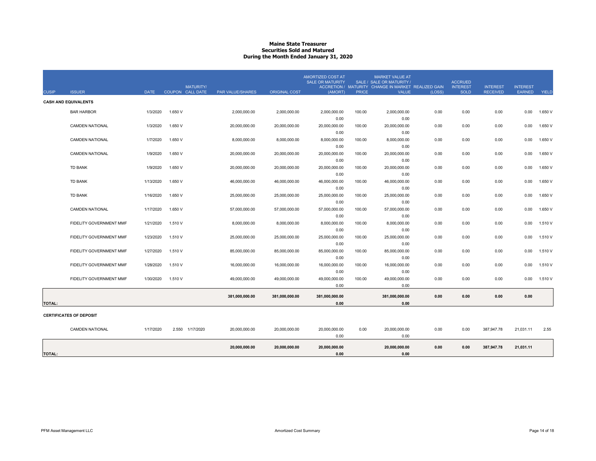#### **Maine State Treasurer Securities Sold and MaturedDuring the Month Ended January 31, 2020**

| <b>CUSIP</b>  | <b>ISSUER</b>                  | <b>DATE</b> | COUPON CALL DATE | <b>MATURITY/</b> | PAR VALUE/SHARES | <b>ORIGINAL COST</b> | <b>AMORTIZED COST AT</b><br><b>SALE OR MATURITY</b><br>(AMORT) | <b>PRICE</b> | <b>MARKET VALUE AT</b><br>SALE / SALE OR MATURITY /<br>ACCRETION / MATURITY CHANGE IN MARKET REALIZED GAIN<br><b>VALUE</b> | (LOSS) | <b>ACCRUED</b><br><b>INTEREST</b><br><b>SOLD</b> | <b>INTEREST</b><br><b>RECEIVED</b> | <b>INTEREST</b><br><b>EARNED</b> | <b>YIELD</b> |
|---------------|--------------------------------|-------------|------------------|------------------|------------------|----------------------|----------------------------------------------------------------|--------------|----------------------------------------------------------------------------------------------------------------------------|--------|--------------------------------------------------|------------------------------------|----------------------------------|--------------|
|               | <b>CASH AND EQUIVALENTS</b>    |             |                  |                  |                  |                      |                                                                |              |                                                                                                                            |        |                                                  |                                    |                                  |              |
|               | <b>BAR HARBOR</b>              | 1/3/2020    | 1.650 V          |                  | 2,000,000.00     | 2,000,000.00         | 2,000,000.00                                                   | 100.00       | 2,000,000.00                                                                                                               | 0.00   | 0.00                                             | 0.00                               | 0.00                             | 1.650 V      |
|               |                                |             |                  |                  |                  |                      | 0.00                                                           |              | 0.00                                                                                                                       |        |                                                  |                                    |                                  |              |
|               | <b>CAMDEN NATIONAL</b>         | 1/3/2020    | 1.650 V          |                  | 20,000,000.00    | 20,000,000.00        | 20,000,000.00                                                  | 100.00       | 20,000,000.00                                                                                                              | 0.00   | 0.00                                             | 0.00                               | 0.00                             | 1.650 V      |
|               |                                |             |                  |                  |                  |                      | 0.00                                                           |              | 0.00                                                                                                                       |        |                                                  |                                    |                                  |              |
|               | <b>CAMDEN NATIONAL</b>         | 1/7/2020    | 1.650 V          |                  | 8.000.000.00     | 8.000.000.00         | 8.000.000.00                                                   | 100.00       | 8.000.000.00                                                                                                               | 0.00   | 0.00                                             | 0.00                               | 0.00                             | 1.650 V      |
|               |                                |             |                  |                  |                  |                      | 0.00                                                           |              | 0.00                                                                                                                       |        |                                                  |                                    |                                  |              |
|               | <b>CAMDEN NATIONAL</b>         | 1/9/2020    | 1.650 V          |                  | 20,000,000.00    | 20,000,000.00        | 20,000,000.00                                                  | 100.00       | 20,000,000.00                                                                                                              | 0.00   | 0.00                                             | 0.00                               | 0.00                             | 1.650 V      |
|               |                                |             |                  |                  |                  |                      | 0.00                                                           |              | 0.00                                                                                                                       |        |                                                  |                                    |                                  |              |
|               | <b>TD BANK</b>                 | 1/9/2020    | 1.650 V          |                  | 20,000,000.00    | 20,000,000.00        | 20,000,000.00                                                  | 100.00       | 20,000,000.00                                                                                                              | 0.00   | 0.00                                             | 0.00                               | 0.00                             | 1.650 V      |
|               |                                |             |                  |                  |                  |                      | 0.00                                                           |              | 0.00                                                                                                                       |        |                                                  |                                    |                                  |              |
|               | <b>TD BANK</b>                 | 1/13/2020   | 1.650 V          |                  | 46.000.000.00    | 46,000,000.00        | 46,000,000.00                                                  | 100.00       | 46,000,000.00                                                                                                              | 0.00   | 0.00                                             | 0.00                               | 0.00                             | 1.650 V      |
|               |                                |             |                  |                  |                  |                      | 0.00                                                           |              | 0.00                                                                                                                       |        |                                                  |                                    |                                  |              |
|               | <b>TD BANK</b>                 | 1/16/2020   | 1.650 V          |                  | 25,000,000.00    | 25,000,000.00        | 25,000,000.00                                                  | 100.00       | 25,000,000.00                                                                                                              | 0.00   | 0.00                                             | 0.00                               | 0.00                             | 1.650 V      |
|               |                                |             |                  |                  |                  |                      | 0.00                                                           |              | 0.00                                                                                                                       |        |                                                  |                                    |                                  |              |
|               | <b>CAMDEN NATIONAL</b>         | 1/17/2020   | 1.650 V          |                  | 57,000,000.00    | 57,000,000.00        | 57,000,000.00                                                  | 100.00       | 57,000,000.00                                                                                                              | 0.00   | 0.00                                             | 0.00                               | 0.00                             | 1.650 V      |
|               |                                |             | 1.510 V          |                  |                  |                      | 0.00<br>8,000,000.00                                           |              | 0.00                                                                                                                       |        |                                                  |                                    |                                  | 1.510 V      |
|               | FIDELITY GOVERNMENT MMF        | 1/21/2020   |                  |                  | 8,000,000.00     | 8,000,000.00         | 0.00                                                           | 100.00       | 8,000,000.00<br>0.00                                                                                                       | 0.00   | 0.00                                             | 0.00                               | 0.00                             |              |
|               | FIDELITY GOVERNMENT MMF        | 1/23/2020   | 1.510 V          |                  | 25,000,000.00    | 25,000,000.00        | 25,000,000.00                                                  | 100.00       | 25,000,000.00                                                                                                              | 0.00   | 0.00                                             | 0.00                               | 0.00                             | 1.510 V      |
|               |                                |             |                  |                  |                  |                      | 0.00                                                           |              | 0.00                                                                                                                       |        |                                                  |                                    |                                  |              |
|               | FIDELITY GOVERNMENT MMF        | 1/27/2020   | 1.510 V          |                  | 85,000,000.00    | 85,000,000.00        | 85,000,000.00                                                  | 100.00       | 85,000,000.00                                                                                                              | 0.00   | 0.00                                             | 0.00                               | 0.00                             | 1.510 V      |
|               |                                |             |                  |                  |                  |                      | 0.00                                                           |              | 0.00                                                                                                                       |        |                                                  |                                    |                                  |              |
|               | FIDELITY GOVERNMENT MMF        | 1/28/2020   | 1.510 V          |                  | 16,000,000.00    | 16,000,000.00        | 16,000,000.00                                                  | 100.00       | 16,000,000.00                                                                                                              | 0.00   | 0.00                                             | 0.00                               | 0.00                             | 1.510 V      |
|               |                                |             |                  |                  |                  |                      | 0.00                                                           |              | 0.00                                                                                                                       |        |                                                  |                                    |                                  |              |
|               | FIDELITY GOVERNMENT MMF        | 1/30/2020   | 1.510 V          |                  | 49,000,000.00    | 49,000,000.00        | 49,000,000.00                                                  | 100.00       | 49,000,000.00                                                                                                              | 0.00   | 0.00                                             | 0.00                               | 0.00                             | 1.510 V      |
|               |                                |             |                  |                  |                  |                      | 0.00                                                           |              | 0.00                                                                                                                       |        |                                                  |                                    |                                  |              |
|               |                                |             |                  |                  |                  |                      |                                                                |              |                                                                                                                            |        |                                                  |                                    |                                  |              |
|               |                                |             |                  |                  | 381,000,000.00   | 381,000,000.00       | 381,000,000.00                                                 |              | 381,000,000.00                                                                                                             | 0.00   | 0.00                                             | 0.00                               | 0.00                             |              |
| <b>TOTAL:</b> |                                |             |                  |                  |                  |                      | 0.00                                                           |              | 0.00                                                                                                                       |        |                                                  |                                    |                                  |              |
|               | <b>CERTIFICATES OF DEPOSIT</b> |             |                  |                  |                  |                      |                                                                |              |                                                                                                                            |        |                                                  |                                    |                                  |              |
|               | <b>CAMDEN NATIONAL</b>         | 1/17/2020   |                  | 2.550 1/17/2020  | 20,000,000.00    | 20,000,000.00        | 20,000,000.00                                                  | 0.00         | 20,000,000.00                                                                                                              | 0.00   | 0.00                                             | 387,947.78                         | 21,031.11                        | 2.55         |
|               |                                |             |                  |                  |                  |                      | 0.00                                                           |              | 0.00                                                                                                                       |        |                                                  |                                    |                                  |              |
|               |                                |             |                  |                  |                  |                      |                                                                |              |                                                                                                                            |        |                                                  |                                    |                                  |              |
|               |                                |             |                  |                  | 20,000,000.00    | 20,000,000.00        | 20,000,000.00                                                  |              | 20,000,000.00                                                                                                              | 0.00   | 0.00                                             | 387,947.78                         | 21,031.11                        |              |
| <b>TOTAL:</b> |                                |             |                  |                  |                  |                      | 0.00                                                           |              | 0.00                                                                                                                       |        |                                                  |                                    |                                  |              |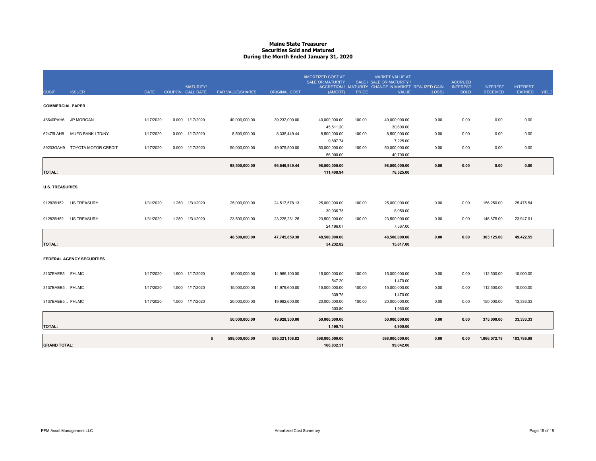#### **Maine State Treasurer Securities Sold and MaturedDuring the Month Ended January 31, 2020**

| <b>CUSIP</b>            | <b>ISSUER</b>             | <b>DATE</b> |       | <b>MATURITY/</b><br>COUPON CALL DATE | <b>PAR VALUE/SHARES</b> | <b>ORIGINAL COST</b> | <b>AMORTIZED COST AT</b><br><b>SALE OR MATURITY</b><br>(AMORT) | <b>PRICE</b> | <b>MARKET VALUE AT</b><br>SALE / SALE OR MATURITY /<br>ACCRETION / MATURITY CHANGE IN MARKET REALIZED GAIN<br><b>VALUE</b> | (LOSS) | <b>ACCRUED</b><br><b>INTEREST</b><br><b>SOLD</b> | <b>INTEREST</b><br><b>RECEIVED</b> | <b>INTEREST</b><br><b>EARNED</b> | <b>YIELD</b> |
|-------------------------|---------------------------|-------------|-------|--------------------------------------|-------------------------|----------------------|----------------------------------------------------------------|--------------|----------------------------------------------------------------------------------------------------------------------------|--------|--------------------------------------------------|------------------------------------|----------------------------------|--------------|
| <b>COMMERCIAL PAPER</b> |                           |             |       |                                      |                         |                      |                                                                |              |                                                                                                                            |        |                                                  |                                    |                                  |              |
|                         | 46640PAH6 JP MORGAN       | 1/17/2020   |       | 0.000 1/17/2020                      | 40,000,000.00           | 39,232,000.00        | 40,000,000.00<br>45.511.20                                     | 100.00       | 40,000,000.00<br>30.600.00                                                                                                 | 0.00   | 0.00                                             | 0.00                               | 0.00                             |              |
| 62479LAH8               | MUFG BANK LTD/NY          | 1/17/2020   |       | 0.000 1/17/2020                      | 8,500,000.00            | 8,335,449.44         | 8,500,000.00<br>9,897.74                                       | 100.00       | 8,500,000.00<br>7,225.00                                                                                                   | 0.00   | 0.00                                             | 0.00                               | 0.00                             |              |
| 89233GAH9               | TOYOTA MOTOR CREDIT       | 1/17/2020   | 0.000 | 1/17/2020                            | 50,000,000.00           | 49,079,500.00        | 50,000,000.00<br>56,000.00                                     | 100.00       | 50,000,000.00<br>40,700.00                                                                                                 | 0.00   | 0.00                                             | 0.00                               | 0.00                             |              |
| <b>TOTAL:</b>           |                           |             |       |                                      | 98,500,000.00           | 96,646,949.44        | 98,500,000.00<br>111,408.94                                    |              | 98,500,000.00<br>78,525.00                                                                                                 | 0.00   | 0.00                                             | 0.00                               | 0.00                             |              |
| <b>U.S. TREASURIES</b>  |                           |             |       |                                      |                         |                      |                                                                |              |                                                                                                                            |        |                                                  |                                    |                                  |              |
| 912828H52               | <b>US TREASURY</b>        | 1/31/2020   | 1.250 | 1/31/2020                            | 25,000,000.00           | 24,517,578.13        | 25,000,000.00<br>30,036.75                                     | 100.00       | 25,000,000.00<br>8,050.00                                                                                                  | 0.00   | 0.00                                             | 156,250.00                         | 25,475.54                        |              |
|                         | 912828H52. US TREASURY    | 1/31/2020   | 1.250 | 1/31/2020                            | 23,500,000.00           | 23,228,281.25        | 23,500,000.00<br>24.196.07                                     | 100.00       | 23,500,000.00<br>7,567.00                                                                                                  | 0.00   | 0.00                                             | 146.875.00                         | 23.947.01                        |              |
| <b>TOTAL:</b>           |                           |             |       |                                      | 48,500,000.00           | 47,745,859.38        | 48,500,000.00<br>54,232.82                                     |              | 48,500,000.00<br>15,617.00                                                                                                 | 0.00   | 0.00                                             | 303,125.00                         | 49,422.55                        |              |
|                         | FEDERAL AGENCY SECURITIES |             |       |                                      |                         |                      |                                                                |              |                                                                                                                            |        |                                                  |                                    |                                  |              |
| 3137EAEE5 FHLMC         |                           | 1/17/2020   | 1.500 | 1/17/2020                            | 15,000,000.00           | 14,966,100.00        | 15,000,000.00<br>547.20                                        | 100.00       | 15,000,000.00<br>1,470.00                                                                                                  | 0.00   | 0.00                                             | 112,500.00                         | 10,000.00                        |              |
| 3137EAEE5. FHLMC        |                           | 1/17/2020   |       | 1.500 1/17/2020                      | 15,000,000.00           | 14,979,600.00        | 15,000,000.00<br>339.75                                        | 100.00       | 15,000,000.00<br>1,470.00                                                                                                  | 0.00   | 0.00                                             | 112,500.00                         | 10,000.00                        |              |
| 3137EAEE5 FHLMC         |                           | 1/17/2020   | 1.500 | 1/17/2020                            | 20,000,000.00           | 19,982,600.00        | 20,000,000.00<br>303.80                                        | 100.00       | 20,000,000.00<br>1,960.00                                                                                                  | 0.00   | 0.00                                             | 150,000.00                         | 13,333.33                        |              |
| <b>TOTAL:</b>           |                           |             |       |                                      | 50,000,000.00           | 49,928,300.00        | 50.000.000.00<br>1,190.75                                      |              | 50,000,000.00<br>4,900.00                                                                                                  | 0.00   | 0.00                                             | 375.000.00                         | 33,333.33                        |              |
| <b>GRAND TOTAL:</b>     |                           |             |       |                                      | s.<br>598,000,000.00    | 595,321,108.82       | 598,000,000.00<br>166,832.51                                   |              | 598,000,000.00<br>99.042.00                                                                                                | 0.00   | 0.00                                             | 1,066,072.78                       | 103,786.99                       |              |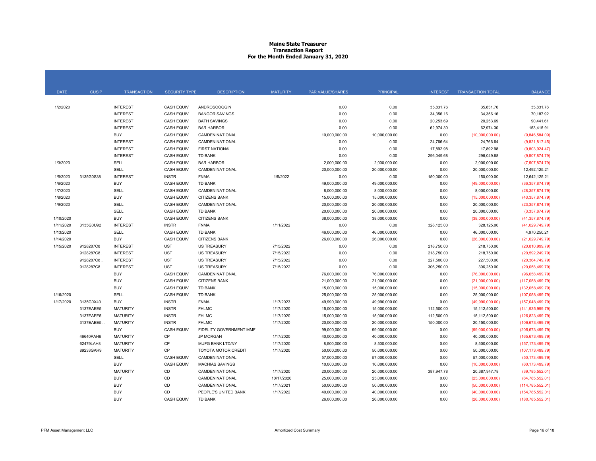#### **Maine State Treasurer Transaction Report For the Month Ended January 31, 2020**

| <b>DATE</b> | <b>CUSIP</b> | <b>TRANSACTION</b>                 | <b>SECURITY TYPE</b>              | <b>DESCRIPTION</b>                          | <b>MATURITY</b> | PAR VALUE/SHARES      | <b>PRINCIPAL</b>      | <b>INTEREST</b>    | <b>TRANSACTION TOTAL</b>        | <b>BALANCE</b>                 |
|-------------|--------------|------------------------------------|-----------------------------------|---------------------------------------------|-----------------|-----------------------|-----------------------|--------------------|---------------------------------|--------------------------------|
|             |              |                                    |                                   |                                             |                 |                       |                       |                    |                                 |                                |
| 1/2/2020    |              | <b>INTEREST</b>                    | <b>CASH EQUIV</b>                 | <b>ANDROSCOGGIN</b>                         |                 | 0.00                  | 0.00                  | 35,831.76          | 35,831.76                       | 35,831.76                      |
|             |              | <b>INTEREST</b>                    | <b>CASH EQUIV</b>                 | <b>BANGOR SAVINGS</b>                       |                 | 0.00                  | 0.00                  | 34,356.16          | 34,356.16                       | 70,187.92                      |
|             |              | <b>INTEREST</b>                    | <b>CASH EQUIV</b>                 | <b>BATH SAVINGS</b>                         |                 | 0.00                  | 0.00                  | 20,253.69          | 20,253.69                       | 90,441.61                      |
|             |              | <b>INTEREST</b>                    | <b>CASH EQUIV</b>                 | <b>BAR HARBOR</b>                           |                 | 0.00                  | 0.00                  | 62,974.30          | 62,974.30                       | 153,415.91                     |
|             |              | <b>BUY</b>                         | CASH EQUIV                        | <b>CAMDEN NATIONAL</b>                      |                 | 10,000,000.00         | 10,000,000.00         | 0.00               | (10,000,000.00)                 | (9,846,584.09)                 |
|             |              | <b>INTEREST</b>                    | <b>CASH EQUIV</b>                 | <b>CAMDEN NATIONAL</b>                      |                 | 0.00                  | 0.00                  | 24,766.64          | 24,766.64                       | (9,821,817.45)                 |
|             |              | <b>INTEREST</b><br><b>INTEREST</b> | <b>CASH EQUIV</b>                 | <b>FIRST NATIONAL</b>                       |                 | 0.00                  | 0.00                  | 17,892.98          | 17,892.98                       | (9,803,924.47)                 |
|             |              |                                    | <b>CASH EQUIV</b>                 | TD BANK                                     |                 | 0.00                  | 0.00                  | 296,049.68         | 296,049.68                      | (9,507,874.79)                 |
| 1/3/2020    |              | SELL                               | <b>CASH EQUIV</b>                 | <b>BAR HARBOR</b><br><b>CAMDEN NATIONAL</b> |                 | 2,000,000.00          | 2,000,000.00          | 0.00               | 2,000,000.00                    | (7,507,874.79)                 |
| 1/5/2020    | 3135G0S38    | <b>SELL</b><br><b>INTEREST</b>     | <b>CASH EQUIV</b><br><b>INSTR</b> | <b>FNMA</b>                                 | 1/5/2022        | 20,000,000.00<br>0.00 | 20,000,000.00<br>0.00 | 0.00<br>150,000.00 | 20,000,000.00<br>150,000.00     | 12,492,125.21<br>12,642,125.21 |
| 1/6/2020    |              | <b>BUY</b>                         | <b>CASH EQUIV</b>                 | TD BANK                                     |                 | 49,000,000.00         | 49,000,000.00         | 0.00               |                                 | (36, 357, 874.79)              |
| 1/7/2020    |              | <b>SELL</b>                        | <b>CASH EQUIV</b>                 | <b>CAMDEN NATIONAL</b>                      |                 | 8,000,000.00          | 8,000,000.00          | 0.00               | (49,000,000.00)<br>8,000,000.00 | (28, 357, 874.79)              |
| 1/8/2020    |              | <b>BUY</b>                         | <b>CASH EQUIV</b>                 | <b>CITIZENS BANK</b>                        |                 | 15,000,000.00         | 15,000,000.00         | 0.00               | (15,000,000.00)                 | (43, 357, 874.79)              |
| 1/9/2020    |              | <b>SELL</b>                        | <b>CASH EQUIV</b>                 | <b>CAMDEN NATIONAL</b>                      |                 | 20,000,000.00         | 20,000,000.00         | 0.00               | 20,000,000.00                   | (23, 357, 874.79)              |
|             |              | SELL                               | <b>CASH EQUIV</b>                 | TD BANK                                     |                 | 20,000,000.00         | 20,000,000.00         | 0.00               | 20,000,000.00                   | (3,357,874.79)                 |
| 1/10/2020   |              | <b>BUY</b>                         | <b>CASH EQUIV</b>                 | <b>CITIZENS BANK</b>                        |                 | 38,000,000.00         | 38,000,000.00         | 0.00               | (38,000,000.00)                 | (41, 357, 874.79)              |
| 1/11/2020   | 3135G0U92    | <b>INTEREST</b>                    | <b>INSTR</b>                      | <b>FNMA</b>                                 | 1/11/2022       | 0.00                  | 0.00                  | 328,125.00         | 328,125.00                      | (41,029,749.79)                |
| 1/13/2020   |              | SELL                               | CASH EQUIV                        | TD BANK                                     |                 | 46,000,000.00         | 46,000,000.00         | 0.00               | 46,000,000.00                   | 4,970,250.21                   |
| 1/14/2020   |              | <b>BUY</b>                         | <b>CASH EQUIV</b>                 | <b>CITIZENS BANK</b>                        |                 | 26,000,000.00         | 26,000,000.00         | 0.00               | (26,000,000.00)                 | (21,029,749.79)                |
| 1/15/2020   | 9128287C8    | <b>INTEREST</b>                    | <b>UST</b>                        | <b>US TREASURY</b>                          | 7/15/2022       | 0.00                  | 0.00                  | 218,750.00         | 218,750.00                      | (20, 810, 999.79)              |
|             | 9128287C8    | <b>INTEREST</b>                    | <b>UST</b>                        | <b>US TREASURY</b>                          | 7/15/2022       | 0.00                  | 0.00                  | 218,750.00         | 218,750.00                      | (20.592, 249.79)               |
|             | 9128287C8.   | <b>INTEREST</b>                    | <b>UST</b>                        | <b>US TREASURY</b>                          | 7/15/2022       | 0.00                  | 0.00                  | 227,500.00         | 227,500.00                      | (20, 364, 749.79)              |
|             | 9128287C8    | <b>INTEREST</b>                    | <b>UST</b>                        | <b>US TREASURY</b>                          | 7/15/2022       | 0.00                  | 0.00                  | 306,250.00         | 306,250.00                      | (20,058,499.79)                |
|             |              | <b>BUY</b>                         | <b>CASH EQUIV</b>                 | <b>CAMDEN NATIONAL</b>                      |                 | 76,000,000.00         | 76,000,000.00         | 0.00               | (76,000,000.00)                 | (96,058,499.79)                |
|             |              | <b>BUY</b>                         | <b>CASH EQUIV</b>                 | <b>CITIZENS BANK</b>                        |                 | 21,000,000.00         | 21,000,000.00         | 0.00               | (21,000,000.00)                 | (117,058,499.79)               |
|             |              | <b>BUY</b>                         | CASH EQUIV                        | TD BANK                                     |                 | 15,000,000.00         | 15,000,000.00         | 0.00               | (15,000,000.00)                 | (132,058,499.79)               |
| 1/16/2020   |              | SELL                               | <b>CASH EQUIV</b>                 | <b>TD BANK</b>                              |                 | 25,000,000.00         | 25,000,000.00         | 0.00               | 25,000,000.00                   | (107,058,499.79)               |
| 1/17/2020   | 3135G0X40    | <b>BUY</b>                         | <b>INSTR</b>                      | <b>FNMA</b>                                 | 1/17/2023       | 49,990,000.00         | 49,990,000.00         | 0.00               | (49,990,000.00)                 | (157,048,499.79)               |
|             | 3137EAEE5    | <b>MATURITY</b>                    | <b>INSTR</b>                      | <b>FHLMC</b>                                | 1/17/2020       | 15,000,000.00         | 15,000,000.00         | 112,500.00         | 15,112,500.00                   | (141, 935, 999.79)             |
|             | 3137EAEE5    | <b>MATURITY</b>                    | <b>INSTR</b>                      | <b>FHLMC</b>                                | 1/17/2020       | 15,000,000.00         | 15,000,000.00         | 112,500.00         | 15,112,500.00                   | (126, 823, 499.79)             |
|             | 3137EAEE5.   | <b>MATURITY</b>                    | <b>INSTR</b>                      | <b>FHLMC</b>                                | 1/17/2020       | 20,000,000.00         | 20,000,000.00         | 150,000.00         | 20,150,000.00                   | (106, 673, 499.79)             |
|             |              | <b>BUY</b>                         | CASH EQUIV                        | FIDELITY GOVERNMENT MMF                     |                 | 99,000,000.00         | 99,000,000.00         | 0.00               | (99,000,000.00)                 | (205, 673, 499.79)             |
|             | 46640PAH6    | <b>MATURITY</b>                    | CP                                | <b>JP MORGAN</b>                            | 1/17/2020       | 40,000,000.00         | 40,000,000.00         | 0.00               | 40,000,000.00                   | (165, 673, 499.79)             |
|             | 62479LAH8    | <b>MATURITY</b>                    | CP                                | MUFG BANK LTD/NY                            | 1/17/2020       | 8,500,000.00          | 8,500,000.00          | 0.00               | 8,500,000.00                    | (157, 173, 499.79)             |
|             | 89233GAH9    | <b>MATURITY</b>                    | CP                                | <b>TOYOTA MOTOR CREDIT</b>                  | 1/17/2020       | 50,000,000.00         | 50,000,000.00         | 0.00               | 50,000,000.00                   | (107, 173, 499.79)             |
|             |              | <b>SELL</b>                        | <b>CASH EQUIV</b>                 | <b>CAMDEN NATIONAL</b>                      |                 | 57,000,000.00         | 57,000,000.00         | 0.00               | 57,000,000.00                   | (50, 173, 499.79)              |
|             |              | <b>BUY</b>                         | <b>CASH EQUIV</b>                 | <b>MACHIAS SAVINGS</b>                      |                 | 10,000,000.00         | 10,000,000.00         | 0.00               | (10,000,000.00)                 | (60, 173, 499.79)              |
|             |              | <b>MATURITY</b>                    | CD                                | <b>CAMDEN NATIONAL</b>                      | 1/17/2020       | 20,000,000.00         | 20,000,000.00         | 387,947.78         | 20,387,947.78                   | (39,785,552.01)                |
|             |              | <b>BUY</b>                         | CD                                | <b>CAMDEN NATIONAL</b>                      | 10/17/2020      | 25,000,000.00         | 25,000,000.00         | 0.00               | (25,000,000.00)                 | (64, 785, 552.01)              |
|             |              | <b>BUY</b>                         | CD                                | <b>CAMDEN NATIONAL</b>                      | 1/17/2021       | 50,000,000.00         | 50,000,000.00         | 0.00               | (50,000,000.00)                 | (114, 785, 552.01)             |
|             |              | <b>BUY</b>                         | CD                                | PEOPLE'S UNITED BANK                        | 1/17/2022       | 40,000,000.00         | 40,000,000.00         | 0.00               | (40,000,000.00)                 | (154, 785, 552.01)             |
|             |              | <b>BUY</b>                         | <b>CASH EQUIV</b>                 | TD BANK                                     |                 | 26,000,000.00         | 26,000,000.00         | 0.00               | (26,000,000.00)                 | (180, 785, 552.01)             |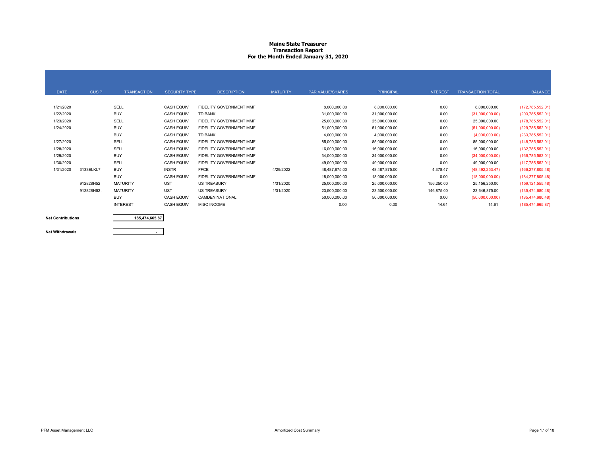#### **Maine State Treasurer Transaction Report For the Month Ended January 31, 2020**

| <b>DATE</b> | <b>CUSIP</b> | <b>TRANSACTION</b> | <b>SECURITY TYPE</b> | <b>DESCRIPTION</b>             | <b>MATURITY</b> | <b>PAR VALUE/SHARES</b> | <b>PRINCIPAL</b> | <b>INTEREST</b> | <b>TRANSACTION TOTAL</b> | <b>BALANCE</b>     |
|-------------|--------------|--------------------|----------------------|--------------------------------|-----------------|-------------------------|------------------|-----------------|--------------------------|--------------------|
| 1/21/2020   |              | SELL               | <b>CASH EQUIV</b>    | FIDELITY GOVERNMENT MMF        |                 | 8,000,000.00            | 8,000,000.00     | 0.00            | 8,000,000.00             | (172, 785, 552.01) |
| 1/22/2020   |              | <b>BUY</b>         | <b>CASH EQUIV</b>    | <b>TD BANK</b>                 |                 | 31,000,000.00           | 31,000,000.00    | 0.00            | (31,000,000.00)          | (203, 785, 552.01) |
| 1/23/2020   |              | SELL               | <b>CASH EQUIV</b>    | <b>FIDELITY GOVERNMENT MMF</b> |                 | 25,000,000.00           | 25,000,000.00    | 0.00            | 25,000,000.00            | (178, 785, 552.01) |
| 1/24/2020   |              | <b>BUY</b>         | <b>CASH EQUIV</b>    | FIDELITY GOVERNMENT MMF        |                 | 51,000,000.00           | 51,000,000.00    | 0.00            | (51,000,000.00)          | (229, 785, 552.01) |
|             |              | <b>BUY</b>         | <b>CASH EQUIV</b>    | <b>TD BANK</b>                 |                 | 4,000,000.00            | 4,000,000.00     | 0.00            | (4,000,000.00)           | (233,785,552.01)   |
| 1/27/2020   |              | SELL               | <b>CASH EQUIV</b>    | FIDELITY GOVERNMENT MMF        |                 | 85,000,000.00           | 85,000,000.00    | 0.00            | 85,000,000.00            | (148, 785, 552.01) |
| 1/28/2020   |              | SELL               | <b>CASH EQUIV</b>    | FIDELITY GOVERNMENT MMF        |                 | 16,000,000.00           | 16,000,000.00    | 0.00            | 16,000,000.00            | (132,785,552.01)   |
| 1/29/2020   |              | <b>BUY</b>         | <b>CASH EQUIV</b>    | <b>FIDELITY GOVERNMENT MMF</b> |                 | 34,000,000.00           | 34,000,000.00    | 0.00            | (34,000,000.00)          | (166, 785, 552.01) |
| 1/30/2020   |              | SELL               | <b>CASH EQUIV</b>    | <b>FIDELITY GOVERNMENT MMF</b> |                 | 49,000,000.00           | 49,000,000.00    | 0.00            | 49,000,000.00            | (117,785,552.01)   |
| 1/31/2020   | 3133ELKL7    | <b>BUY</b>         | <b>INSTR</b>         | <b>FFCB</b>                    | 4/29/2022       | 48,487,875.00           | 48,487,875.00    | 4,378.47        | (48, 492, 253, 47)       | (166, 277, 805.48) |
|             |              | <b>BUY</b>         | <b>CASH EQUIV</b>    | FIDELITY GOVERNMENT MMF        |                 | 18,000,000.00           | 18,000,000.00    | 0.00            | (18,000,000.00)          | (184, 277, 805.48) |
|             | 912828H52    | <b>MATURITY</b>    | <b>UST</b>           | <b>US TREASURY</b>             | 1/31/2020       | 25,000,000.00           | 25,000,000.00    | 156,250.00      | 25,156,250.00            | (159, 121, 555.48) |
|             | 912828H52.   | <b>MATURITY</b>    | <b>UST</b>           | <b>US TREASURY</b>             | 1/31/2020       | 23,500,000.00           | 23,500,000.00    | 146,875.00      | 23,646,875.00            | (135, 474, 680.48) |
|             |              | <b>BUY</b>         | <b>CASH EQUIV</b>    | <b>CAMDEN NATIONAL</b>         |                 | 50,000,000.00           | 50,000,000.00    | 0.00            | (50,000,000.00)          | (185, 474, 680.48) |
|             |              | <b>INTEREST</b>    | <b>CASH EQUIV</b>    | <b>MISC INCOME</b>             |                 | 0.00                    | 0.00             | 14.61           | 14.61                    | (185, 474, 665.87) |



**185,474,665.87**

**Net Withdrawals**